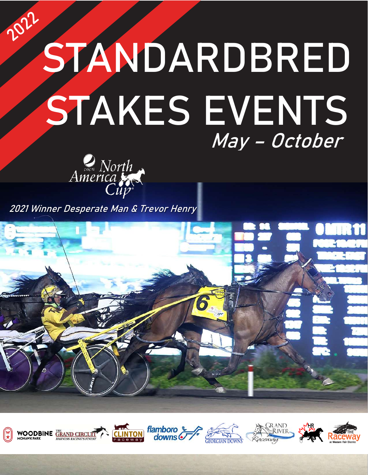# 2022 **STANDARDBRED STAKES EVENTS** May – October



**2021 Winner Desperate Man & Trevor Henry**



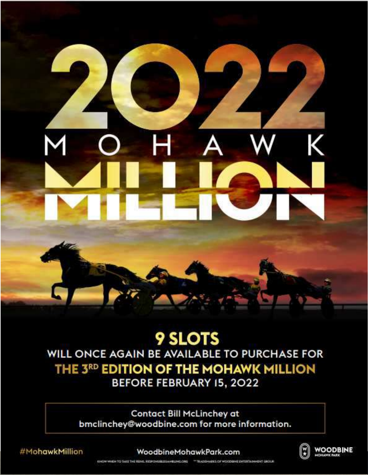### **9 SLOTS** WILL ONCE AGAIN BE AVAILABLE TO PURCHASE FOR THE 3RD EDITION OF THE MOHAWK MILLION **BEFORE FEBRUARY 15, 2022**

**Contact Bill McLinchey at** bmclinchey@woodbine.com for more information.

#MohawkMillion

#### WoodbineMohawkPark.com



**WOODBINE** 

KNOW WHEN TO TAKE THE REMIX, REPONSIBLES AND LIVING ONE - "RADERAMA'S OF WOODGING ENTERTAINMENT GROUP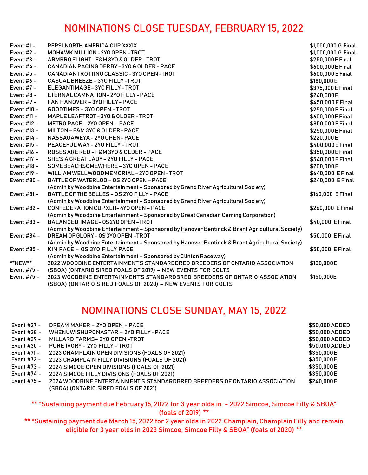### NOMINATIONS CLOSE TUESDAY, FEBRUARY 15, 2022

| Event $#1 -$ | PEPSI NORTH AMERICA CUP XXXIX                                                                                                             | \$1,000,000 G Final |
|--------------|-------------------------------------------------------------------------------------------------------------------------------------------|---------------------|
| Event $#2 -$ | MOHAWK MILLION - 2YO OPEN - TROT                                                                                                          | \$1,000,000 G Final |
| Event $#3 -$ | ARMBRO FLIGHT-F&M 3YO & OLDER-TROT                                                                                                        | \$250,000 E Final   |
| Event $#4 -$ | CANADIAN PACING DERBY - 3YO & OLDER - PACE                                                                                                | \$600,000 E Final   |
| Event #5 -   | CANADIAN TROTTING CLASSIC - 3YO OPEN-TROT                                                                                                 | \$600,000 E Final   |
| Event $#6 -$ | CASUAL BREEZE - 3YO FILLY -TROT                                                                                                           | \$180,000 E         |
| Event #7 -   | ELEGANTIMAGE-3YO FILLY-TROT                                                                                                               | \$375,000 E Final   |
| Event $#8 -$ | ETERNAL CAMNATION - 2YO FILLY - PACE                                                                                                      | \$240,000E          |
| Event $#9 -$ | FAN HANOVER - 3YO FILLY - PACE                                                                                                            | \$450,000 E Final   |
| Event #10 -  | GOODTIMES - 3YO OPEN - TROT                                                                                                               | \$250,000 E Final   |
| Event #11 -  | MAPLE LEAFTROT - 3YO & OLDER - TROT                                                                                                       | \$600,000 E Final   |
| Event #12 -  | METRO PACE - 2YO OPEN - PACE                                                                                                              | \$850,000 E Final   |
| Event #13 -  | MILTON - F&M 3YO & OLDER - PACE                                                                                                           | \$250,000 E Final   |
| Event #14 -  | NASSAGAWEYA - 2YO OPEN - PACE                                                                                                             | \$220,000E          |
| Event #15 -  | PEACEFUL WAY - 2YO FILLY - TROT                                                                                                           | \$400,000 E Final   |
| Event #16 -  | ROSES ARE RED - F&M 3YO & OLDER - PACE                                                                                                    | \$350,000 E Final   |
| Event #17 -  | SHE'S A GREAT LADY - 2YO FILLY - PACE                                                                                                     | \$540,000 E Final   |
| Event #18 -  | SOMEBEACHSOMEWHERE - 3YO OPEN - PACE                                                                                                      | \$200,000 E         |
| Event #19 -  | WILLIAM WELLWOOD MEMORIAL - 2YO OPEN - TROT                                                                                               | \$640,000 EFinal    |
| Event #80 -  | BATTLE OF WATERLOO - OS 2YO OPEN - PACE                                                                                                   | \$240,000 EFinal    |
|              | (Admin by Woodbine Entertainment - Sponsored by Grand River Agricultural Society)                                                         |                     |
| Event #81 -  | BATTLE OF THE BELLES - 0S 2YO FILLY - PACE                                                                                                | \$160,000 EFinal    |
|              | (Admin by Woodbine Entertainment - Sponsored by Grand River Agricultural Society)                                                         |                     |
| Event #82 -  | CONFEDERATION CUP XLII-4YO OPEN - PACE                                                                                                    | \$260,000 EFinal    |
|              | (Admin by Woodbine Entertainment - Sponsored by Great Canadian Gaming Corporation)                                                        |                     |
| Event #83 -  | BALANCED IMAGE-0S2Y0 OPEN-TROT                                                                                                            | \$40,000 EFinal     |
|              | (Admin by Woodbine Entertainment - Sponsored by Hanover Bentinck & Brant Agricultural Society)                                            |                     |
| Event #84 -  | DREAM OF GLORY - OS 3YO OPEN - TROT                                                                                                       | \$50,000 EFinal     |
|              | (Admin by Woodbine Entertainment - Sponsored by Hanover Bentinck & Brant Agricultural Society)                                            |                     |
| Event #85 -  | KIN PACE - 0S 3YO FILLY PACE                                                                                                              | \$50,000 EFinal     |
|              | (Admin by Woodbine Entertainment - Sponsored by Clinton Raceway)                                                                          |                     |
| **NEW**      | 2022 WOODBINE ENTERTAINMENT'S STANDARDBRED BREEDERS OF ONTARIO ASSOCIATION                                                                | \$100,000E          |
| Event #75 -  | (SBOA) (ONTARIO SIRED FOALS OF 2019) - NEW EVENTS FOR COLTS                                                                               |                     |
| Event #75 -  | 2023 WOODBINE ENTERTAINMENT'S STANDARDBRED BREEDERS OF ONTARIO ASSOCIATION<br>(SBOA) (ONTARIO SIRED FOALS OF 2020) - NEW EVENTS FOR COLTS | \$150,000E          |

### NOMINATIONS CLOSE SUNDAY, MAY 15, 2022

| Event #27 - | DREAM MAKER - 2YO OPEN - PACE                                              | \$50,000 ADDED |
|-------------|----------------------------------------------------------------------------|----------------|
| Event #28 - | WHENUWISHUPONASTAR - 2YO FILLY -PACE                                       | \$50,000 ADDED |
| Event #29 - | MILLARD FARMS-2YO OPEN-TROT                                                | \$50,000 ADDED |
| Event #30 - | PURE IVORY - 2YO FILLY - TROT                                              | \$50,000 ADDED |
| Event #71 - | 2023 CHAMPLAIN OPEN DIVISIONS (FOALS OF 2021)                              | \$350,000E     |
| Event #72 - | 2023 CHAMPLAIN FILLY DIVISIONS (FOALS OF 2021)                             | \$350,000E     |
| Event #73 - | 2024 SIMCOE OPEN DIVISIONS (FOALS OF 2021)                                 | \$350,000E     |
| Event #74 - | 2024 SIMCOE FILLY DIVISIONS (FOALS OF 2021)                                | \$350,000E     |
| Event #75 - | 2024 WOODBINE ENTERTAINMENT'S STANDARDBRED BREEDERS OF ONTARIO ASSOCIATION | \$240,000E     |
|             | (SBOA) (ONTARIO SIRED FOALS OF 2021)                                       |                |

\*\* "Sustaining payment due February 15, 2022 for 3 year olds in - 2022 Simcoe, Simcoe Filly & SBOA" (foals of 2019) \*\*

\*\* "Sustaining payment due March 15, 2022 for 2 year olds in 2022 Champlain, Champlain Filly and remain eligible for 3 year olds in 2023 Simcoe, Simcoe Filly & SBOA" (foals of 2020) \*\*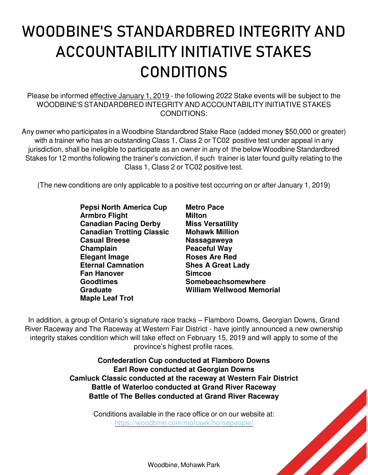# **WOODBINE'S STANDARDBRED INTEGRITY AND ACCOUNTABILITY INITIATIVE STAKES CONDITIONS**

Please be informed effective January 1, 2019 - the following 2022 Stake events will be subject to the WOODBINE'S STANDARDBRED INTEGRITY AND ACCOUNTABILITY INITIATIVE STAKES CONDITIONS:

Any owner who participates in a Woodbine Standardbred Stake Race (added money \$50,000 or greater) with a trainer who has an outstanding Class 1, Class 2 or TC02 positive test under appeal in any jurisdiction, shall be ineligible to participate as an owner in any of the below Woodbine Standardbred Stakes for 12 months following the trainer's conviction, if such trainer is later found guilty relating to the Class 1, Class 2 or TC02 positive test.

(The new conditions are only applicable to a positive test occurring on or after January 1, 2019)

**Pepsi North America Cup Armbro Flight Canadian Pacing Derby Canadian Trotting Classic Casual Breese Champlain Elegant Image Eternal Camnation Fan Hanover Goodtimes Graduate Maple Leaf Trot** 

**Metro Pace Milton Miss Versatility Mohawk Million Nassagaweya Peaceful Way Roses Are Red Shes A Great Lady Simcoe Somebeachsomewhere William Wellwood Memorial** 

In addition, a group of Ontario's signature race tracks – Flamboro Downs, Georgian Downs, Grand River Raceway and The Raceway at Western Fair District - have jointly announced a new ownership integrity stakes condition which will take effect on February 15, 2019 and will apply to some of the province's highest profile races.

> **Confederation Cup conducted at Flamboro Downs Earl Rowe conducted at Georgian Downs Camluck Classic conducted at the raceway at Western Fair District Battle of Waterloo conducted at Grand River Raceway Battle of The Belles conducted at Grand River Raceway**

> > Conditions available in the race office or on our website at: https://woodbine.com/mohawk/horsepeople/



Woodbine, Mohawk Park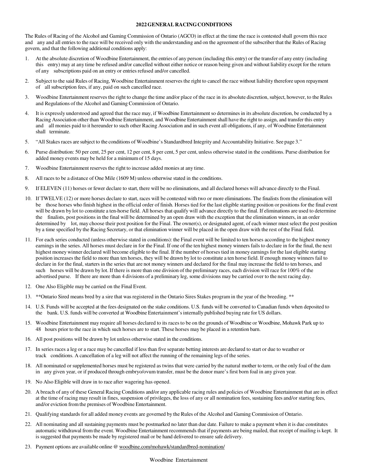#### **2022 GENERAL RACING CONDITIONS**

The Rules of Racing of the Alcohol and Gaming Commission of Ontario (AGCO) in effect at the time the race is contested shall govern this race and any and all entries to the race will be received only with the understanding and on the agreement of the subscriber that the Rules of Racing govern, and that the following additional conditions apply:

- 1. At the absolute discretion of Woodbine Entertainment, the entries of any person (including this entry) or the transfer of any entry (including this entry) may at any time be refused and/or cancelled without either notice or reason being given and without liability except for the return of any subscriptions paid on an entry or entries refused and/or cancelled.
- 2. Subject to the said Rules of Racing, Woodbine Entertainment reserves the right to cancel the race without liability therefore upon repayment of all subscription fees, if any, paid on such cancelled race.
- 3. Woodbine Entertainment reserves the right to change the time and/or place of the race in its absolute discretion, subject, however, to the Rules and Regulations of the Alcohol and Gaming Commission of Ontario.
- 4. It is expressly understood and agreed that the race may, if Woodbine Entertainment so determines in its absolute discretion, be conducted by a Racing Association other than Woodbine Entertainment, and Woodbine Entertainment shall have the right to assign, and transfer this entry and all monies paid to it hereunder to such other Racing Association and in such event all obligations, if any, of Woodbine Entertainment shall terminate.
- 5. "All Stakes races are subject to the conditions of Woodbine's Standardbred Integrity and Accountability Initiative. See page 3."
- 6. Purse distribution: 50 per cent, 25 per cent, 12 per cent, 8 per cent, 5 per cent, unless otherwise stated in the conditions. Purse distribution for added money events may be held for a minimum of 15 days.
- 7. Woodbine Entertainment reserves the right to increase added monies at any time.
- 8. All races to be a distance of One Mile (1609 M) unless otherwise stated in the conditions.
- 9. If ELEVEN (11) horses or fewer declare to start, there will be no eliminations, and all declared horses will advance directly to the Final.
- 10. If TWELVE (12) or more horses declare to start, races will be contested with two or more eliminations. The finalists from the elimination will be those horses who finish highest in the official order of finish. Horses tied for the last eligible starting position or positions for the final event will be drawn by lot to constitute a ten-horse field. All horses that qualify will advance directly to the final. If eliminations are used to determine the finalists, post positions in the final will be determined by an open draw with the exception that the elimination winners, in an order determined by lot, may choose their post position for the Final. The owner(s), or designated agent, of each winner must select the post position by a time specified by the Racing Secretary, or that elimination winner will be placed in the open draw with the rest of the Final field.
- 11. For each series conducted (unless otherwise stated in conditions): the Final event will be limited to ten horses according to the highest money earnings in the series. All horses must declare in for the Final. If one of the ten highest money winners fails to declare in for the final, the next highest money winner declared will become eligible to the final. If the number of horses tied in money earnings for the last eligible starting position increases the field to more than ten horses, they will be drawn by lot to constitute a ten horse field. If enough money winners fail to declare in for the final, starters in the series that are not money winners and declared for the final may increase the field to ten horses, and such horses will be drawn by lot. If there is more than one division of the preliminary races, each division will race for 100% of the advertised purse. If there are more than 4 divisions of a preliminary leg, some divisions may be carried over to the next racing day.
- 12. One Also Eligible may be carried on the Final Event.
- 13. \*\*Ontario Sired means bred by a sire that was registered in the Ontario Sires Stakes program in the year of the breeding. \*\*
- 14. U.S. Funds will be accepted at the fees designated on the stake conditions. U.S. funds will be converted to Canadian funds when deposited to the bank. U.S. funds will be converted at Woodbine Entertainment's internally published buying rate for US dollars.
- 15. Woodbine Entertainment may require all horses declared to its races to be on the grounds of Woodbine or Woodbine, Mohawk Park up to 48 hours prior to the race in which such horses are to start. These horses may be placed in a retention barn.
- 16. All post positions will be drawn by lot unless otherwise stated in the conditions.
- 17. In series races a leg or a race may be cancelled if less than five separate betting interests are declared to start or due to weather or track conditions. A cancellation of a leg will not affect the running of the remaining legs of the series.
- 18. All nominated or supplemented horses must be registered as twins that were carried by the natural mother to term, or the only foal of the dam in any given year, or if produced through embryo/ovum transfer, must be the donor mare's first born foal in any given year.
- 19. No Also Eligible will draw in to race after wagering has opened.
- 20. A breach of any of these General Racing Conditions and/or any applicable racing rules and policies of Woodbine Entertainment that are in effect at the time of racing may result in fines, suspension of privileges, the loss of any or all nomination fees, sustaining fees and/or starting fees, and/or eviction from the premises of Woodbine Entertainment.
- 21. Qualifying standards for all added money events are governed by the Rules of the Alcohol and Gaming Commission of Ontario.
- 22. All nominating and all sustaining payments must be postmarked no later than due date. Failure to make a payment when it is due constitutes automatic withdrawal from the event. Woodbine Entertainment recommends that if payments are being mailed, that receipt of mailing is kept. It is suggested that payments be made by registered mail or be hand delivered to ensure safe delivery.
- 23. Payment options are available online @ woodbine.com/mohawk/standardbred-nomination/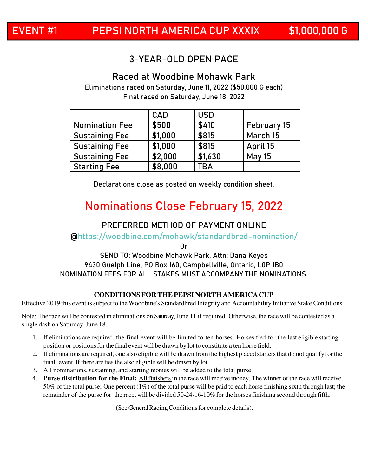### 3-YEAR-OLD OPEN PACE

### **Raced at Woodbine Mohawk Park**

Eliminations raced on Saturday, June 11, 2022 (\$50,000 G each) Final raced on Saturday, June 18, 2022

|                       | CAD     | <b>USD</b> |                    |
|-----------------------|---------|------------|--------------------|
| <b>Nomination Fee</b> | \$500   | \$410      | <b>February 15</b> |
| <b>Sustaining Fee</b> | \$1,000 | \$815      | March 15           |
| <b>Sustaining Fee</b> | \$1,000 | \$815      | April 15           |
| <b>Sustaining Fee</b> | \$2,000 | \$1,630    | <b>May 15</b>      |
| <b>Starting Fee</b>   | \$8,000 | <b>TBA</b> |                    |

Declarations close as posted on weekly condition sheet.

### **Nominations Close February 15, 2022**

#### **PREFERRED METHOD OF PAYMENT ONLINE**

@https://woodbine.com/mohawk/standardbred-nomination/

Or

#### **SEND TO: Woodbine Mohawk Park, Attn: Dana Keyes 9430 Guelph Line, PO Box 160, Campbellville, Ontario, L0P 1B0**  NOMINATION FEES FOR ALL STAKES MUST ACCOMPANY THE NOMINATIONS.

#### **CONDITIONS FOR THE PEPSI NORTH AMERICACUP**

Effective 2019 this event is subject to the Woodbine's Standardbred Integrity and Accountability Initiative Stake Conditions.

Note: The race will be contested in eliminations on Saturday, June 11 if required. Otherwise, the race will be contested as a single dash on Saturday, June 18.

- 1. If eliminations are required, the final event will be limited to ten horses. Horses tied for the last eligible starting position or positions for the final event will be drawn by lot to constitute a ten horse field.
- 2. If eliminations are required, one also eligible will be drawn from the highest placed starters that do not qualify for the final event. If there are ties the also eligible will be drawn by lot.
- 3. All nominations, sustaining, and starting monies will be added to the total purse.
- 4. **Purse distribution for the Final:** All finishers in the race will receive money. The winner of the race will receive 50% of the total purse; One percent (1%) of the total purse will be paid to each horse finishing sixth through last; the remainder of the purse for the race, will be divided 50-24-16-10% for the horses finishing second through fifth.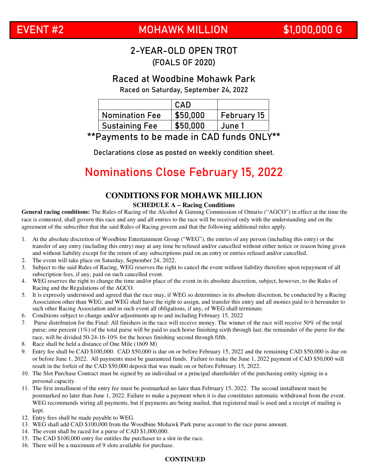### **EVENT #2 MOHAWK MILLION \$1,000,000 G**

### 2-YEAR-OLD OPEN TROT (FOALS OF 2020)

### **Raced at Woodbine Mohawk Park**

Raced on Saturday, September 24, 2022

|                       | CAD      |                    |
|-----------------------|----------|--------------------|
| <b>Nomination Fee</b> | \$50,000 | <b>February 15</b> |
| <b>Sustaining Fee</b> | \$50.000 | June 1             |

### \*\*Payments to be made in CAD funds ONLY\*\*

Declarations close as posted on weekly condition sheet.

### **Nominations Close February 15, 2022**

### **CONDITIONS FOR MOHAWK MILLION**

#### **SCHEDULE A – Racing Conditions**

**General racing conditions:** The Rules of Racing of the Alcohol & Gaming Commission of Ontario ("AGCO") in effect at the time the race is contested, shall govern this race and any and all entries to the race will be received only with the understanding and on the agreement of the subscriber that the said Rules of Racing govern and that the following additional rules apply.

- 1. At the absolute discretion of Woodbine Entertainment Group ("WEG"), the entries of any person (including this entry) or the transfer of any entry (including this entry) may at any time be refused and/or cancelled without either notice or reason being given and without liability except for the return of any subscriptions paid on an entry or entries refused and/or cancelled.
- 2. The event will take place on Saturday, September 24, 2022.
- 3. Subject to the said Rules of Racing, WEG reserves the right to cancel the event without liability therefore upon repayment of all subscription fees, if any, paid on such cancelled event.
- 4. WEG reserves the right to change the time and/or place of the event in its absolute discretion, subject, however, to the Rules of Racing and the Regulations of the AGCO.
- 5. It is expressly understood and agreed that the race may, if WEG so determines in its absolute discretion, be conducted by a Racing Association other than WEG, and WEG shall have the right to assign, and transfer this entry and all monies paid to it hereunder to such other Racing Association and in such event all obligations, if any, of WEG shall terminate.
- 6. Conditions subject to change and/or adjustments up to and including February 15, 2022
- 7. Purse distribution for the Final: All finishers in the race will receive money. The winner of the race will receive 50% of the total purse; one percent (1%) of the total purse will be paid to each horse finishing sixth through last; the remainder of the purse for the race, will be divided 50-24-16-10% for the horses finishing second through fifth.
- 8. Race shall be held a distance of One Mile (1609 M)
- 9. Entry fee shall be CAD \$100,000. CAD \$50,000 is due on or before February 15, 2022 and the remaining CAD \$50,000 is due on or before June 1, 2022. All payments must be guaranteed funds. Failure to make the June 1, 2022 payment of CAD \$50,000 will result in the forfeit of the CAD \$50,000 deposit that was made on or before February 15, 2022.
- 10. The Slot Purchase Contract must be signed by an individual or a principal shareholder of the purchasing entity signing in a personal capacity.
- 11. The first installment of the entry fee must be postmarked no later than February 15, 2022. The second installment must be postmarked no later than June 1, 2022. Failure to make a payment when it is due constitutes automatic withdrawal from the event. WEG recommends wiring all payments, but if payments are being mailed, that registered mail is used and a receipt of mailing is kept.
- 12. Entry fees shall be made payable to WEG.
- 13. WEG shall add CAD \$100,000 from the Woodbine Mohawk Park purse account to the race purse amount.
- 14. The event shall be raced for a purse of CAD \$1,000,000.
- 15. The CAD \$100,000 entry fee entitles the purchaser to a slot in the race.
- 16. There will be a maximum of 9 slots available for purchase.

#### **CONTINUED**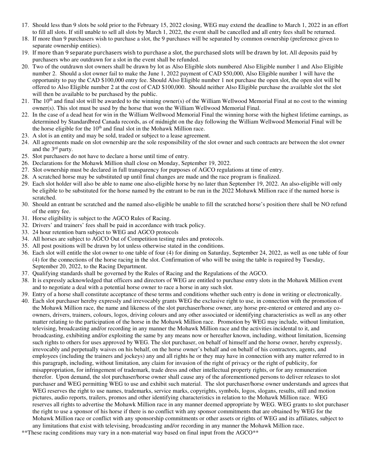- 17. Should less than 9 slots be sold prior to the February 15, 2022 closing, WEG may extend the deadline to March 1, 2022 in an effort to fill all slots. If still unable to sell all slots by March 1, 2022, the event shall be cancelled and all entry fees shall be returned.
- 18. If more than 9 purchasers wish to purchase a slot, the 9 purchases will be separated by common ownership (preference given to separate ownership entities).
- 19. If more than 9 separate purchasers wish to purchase a slot, the purchased slots will be drawn by lot. All deposits paid by purchasers who are outdrawn for a slot in the event shall be refunded.
- 20. Two of the outdrawn slot owners shall be drawn by lot as Also Eligible slots numbered Also Eligible number 1 and Also Eligible number 2. Should a slot owner fail to make the June 1, 2022 payment of CAD \$50,000, Also Eligible number 1 will have the opportunity to pay the CAD \$100,000 entry fee. Should Also Eligible number 1 not purchase the open slot, the open slot will be offered to Also Eligible number 2 at the cost of CAD \$100,000. Should neither Also Eligible purchase the available slot the slot will then be available to be purchased by the public.
- 21. The 10<sup>th</sup> and final slot will be awarded to the winning owner(s) of the William Wellwood Memorial Final at no cost to the winning owner(s). This slot must be used by the horse that won the William Wellwood Memorial Final.
- 22. In the case of a dead heat for win in the William Wellwood Memorial Final the winning horse with the highest lifetime earnings, as determined by Standardbred Canada records, as of midnight on the day following the William Wellwood Memorial Final will be the horse eligible for the  $10<sup>th</sup>$  and final slot in the Mohawk Million race.
- 23. A slot is an entity and may be sold, traded or subject to a lease agreement.
- 24. All agreements made on slot ownership are the sole responsibility of the slot owner and such contracts are between the slot owner and the 3rd party.
- 25. Slot purchasers do not have to declare a horse until time of entry.
- 26. Declarations for the Mohawk Million shall close on Monday, September 19, 2022.
- 27. Slot ownership must be declared in full transparency for purposes of AGCO regulations at time of entry.
- 28. A scratched horse may be substituted up until final changes are made and the race program is finalized.
- 29. Each slot holder will also be able to name one also-eligible horse by no later than September 19, 2022. An also-eligible will only be eligible to be substituted for the horse named by the entrant to be run in the 2022 Mohawk Million race if the named horse is scratched.
- 30. Should an entrant be scratched and the named also-eligible be unable to fill the scratched horse's position there shall be NO refund of the entry fee.
- 31. Horse eligibility is subject to the AGCO Rules of Racing.
- 32. Drivers' and trainers' fees shall be paid in accordance with track policy.
- 33. 24 hour retention barn subject to WEG and AGCO protocols
- 34. All horses are subject to AGCO Out of Competition testing rules and protocols.
- 35. All post positions will be drawn by lot unless otherwise stated in the conditions.
- 36. Each slot will entitle the slot owner to one table of four (4) for dining on Saturday, September 24, 2022, as well as one table of four (4) for the connections of the horse racing in the slot. Confirmation of who will be using the table is required by Tuesday, September 20, 2022, to the Racing Department.
- 37. Qualifying standards shall be governed by the Rules of Racing and the Regulations of the AGCO.
- 38. It is expressly acknowledged that officers and directors of WEG are entitled to purchase entry slots in the Mohawk Million event and to negotiate a deal with a potential horse owner to race a horse in any such slot.
- 39. Entry of a horse shall constitute acceptance of these terms and conditions whether such entry is done in writing or electronically.
- 40. Each slot purchaser hereby expressly and irrevocably grants WEG the exclusive right to use, in connection with the promotion of the Mohawk Million race, the name and likeness of the slot purchaser/horse owner, any horse pre-entered or entered and any coowners, drivers, trainers, colours, logos, driving colours and any other associated or identifying characteristics as well as any other matter relating to the participation of the horse in the Mohawk Million race. Promotion by WEG may include, without limitation, televising, broadcasting and/or recording in any manner the Mohawk Million race and the activities incidental to it, and broadcasting, exhibiting and/or exploiting the same by any means now or hereafter known, including, without limitation, licensing such rights to others for uses approved by WEG. The slot purchaser, on behalf of himself and the horse owner, hereby expressly, irrevocably and perpetually waives on his behalf, on the horse owner's behalf and on behalf of his contractors, agents, and employees (including the trainers and jockeys) any and all rights he or they may have in connection with any matter referred to in this paragraph, including, without limitation, any claim for invasion of the right of privacy or the right of publicity, for misappropriation, for infringement of trademark, trade dress and other intellectual property rights, or for any remuneration therefor. Upon demand, the slot purchaser/horse owner shall cause any of the aforementioned persons to deliver releases to slot purchaser and WEG permitting WEG to use and exhibit such material. The slot purchaser/horse owner understands and agrees that WEG reserves the right to use names, trademarks, service marks, copyrights, symbols, logos, slogans, results, still and motion pictures, audio reports, trailers, promos and other identifying characteristics in relation to the Mohawk Million race. WEG reserves all rights to advertise the Mohawk Million race in any manner deemed appropriate by WEG. WEG grants to slot purchaser the right to use a sponsor of his horse if there is no conflict with any sponsor commitments that are obtained by WEG for the Mohawk Million race or conflict with any sponsorship commitments or other assets or rights of WEG and its affiliates, subject to any limitations that exist with televising, broadcasting and/or recording in any manner the Mohawk Million race.
- \*\*These racing conditions may vary in a non-material way based on final input from the AGCO\*\*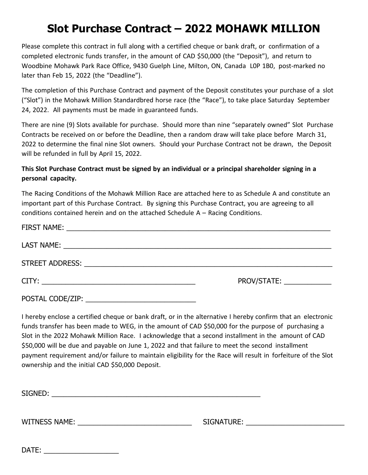### **Slot Purchase Contract – 2022 MOHAWK MILLION**

Please complete this contract in full along with a certified cheque or bank draft, or confirmation of a completed electronic funds transfer, in the amount of CAD \$50,000 (the "Deposit"), and return to Woodbine Mohawk Park Race Office, 9430 Guelph Line, Milton, ON, Canada L0P 1B0, post-marked no later than Feb 15, 2022 (the "Deadline").

The completion of this Purchase Contract and payment of the Deposit constitutes your purchase of a slot ("Slot") in the Mohawk Million Standardbred horse race (the "Race"), to take place Saturday September 24, 2022. All payments must be made in guaranteed funds.

There are nine (9) Slots available for purchase. Should more than nine "separately owned" Slot Purchase Contracts be received on or before the Deadline, then a random draw will take place before March 31, 2022 to determine the final nine Slot owners. Should your Purchase Contract not be drawn, the Deposit will be refunded in full by April 15, 2022.

#### **This Slot Purchase Contract must be signed by an individual or a principal shareholder signing in a personal capacity.**

The Racing Conditions of the Mohawk Million Race are attached here to as Schedule A and constitute an important part of this Purchase Contract. By signing this Purchase Contract, you are agreeing to all conditions contained herein and on the attached Schedule A – Racing Conditions.

|                                                                                                                                          | PROV/STATE: _____________ |
|------------------------------------------------------------------------------------------------------------------------------------------|---------------------------|
| POSTAL CODE/ZIP:<br><u> 2008 - Johann John Stone, mars and de la provincia de la provincia de la provincia de la provincia de la pro</u> |                           |

I hereby enclose a certified cheque or bank draft, or in the alternative I hereby confirm that an electronic funds transfer has been made to WEG, in the amount of CAD \$50,000 for the purpose of purchasing a Slot in the 2022 Mohawk Million Race. I acknowledge that a second installment in the amount of CAD \$50,000 will be due and payable on June 1, 2022 and that failure to meet the second installment payment requirement and/or failure to maintain eligibility for the Race will result in forfeiture of the Slot ownership and the initial CAD \$50,000 Deposit.

SIGNED:  $\blacksquare$ 

WITNESS NAME: \_\_\_\_\_\_\_\_\_\_\_\_\_\_\_\_\_\_\_\_\_\_\_\_\_\_\_\_\_ SIGNATURE: \_\_\_\_\_\_\_\_\_\_\_\_\_\_\_\_\_\_\_\_\_\_\_\_\_

DATE: \_\_\_\_\_\_\_\_\_\_\_\_\_\_\_\_\_\_\_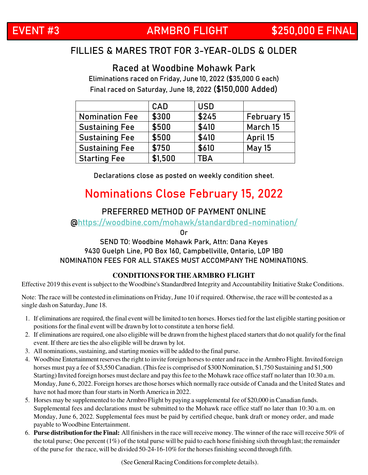### **EVENT #3 ARMBRO FLIGHT \$250,000 E FINAL**

### FILLIES & MARES TROT FOR 3-YEAR-OLDS & OLDER

**Raced at Woodbine Mohawk Park**

Eliminations raced on Friday, June 10, 2022 (\$35,000 G each) Final raced on Saturday, June 18, 2022 **(\$150,000 Added)**

|                       | <b>CAD</b> | <b>USD</b> |               |
|-----------------------|------------|------------|---------------|
| <b>Nomination Fee</b> | \$300      | \$245      | February 15   |
| <b>Sustaining Fee</b> | \$500      | \$410      | March 15      |
| <b>Sustaining Fee</b> | \$500      | \$410      | April 15      |
| <b>Sustaining Fee</b> | \$750      | \$610      | <b>May 15</b> |
| <b>Starting Fee</b>   | \$1,500    | <b>TBA</b> |               |

Declarations close as posted on weekly condition sheet.

### **Nominations Close February 15, 2022**

### **PREFERRED METHOD OF PAYMENT ONLINE**

@https://woodbine.com/mohawk/standardbred-nomination/

Or

#### **SEND TO: Woodbine Mohawk Park, Attn: Dana Keyes 9430 Guelph Line, PO Box 160, Campbellville, Ontario, L0P 1B0**  NOMINATION FEES FOR ALL STAKES MUST ACCOMPANY THE NOMINATIONS.

#### **CONDITIONS FOR THE ARMBRO FLIGHT**

Effective 2019 this event is subject to the Woodbine's Standardbred Integrity and Accountability Initiative Stake Conditions.

Note: The race will be contested in eliminations on Friday, June 10 if required. Otherwise, the race will be contested as a single dash on Saturday, June 18.

- 1. If eliminations are required, the final event will be limited to ten horses. Horses tied for the last eligible starting position or positions for the final event will be drawn by lot to constitute a ten horse field.
- 2. If eliminations are required, one also eligible will be drawn from the highest placed starters that do not qualify for the final event. If there are ties the also eligible will be drawn by lot.
- 3. All nominations, sustaining, and starting monies will be added to the final purse.
- 4. Woodbine Entertainment reserves the right to invite foreign horses to enter and race in the Armbro Flight. Invited foreign horses must pay a fee of \$3,550 Canadian. (This fee is comprised of \$300 Nomination, \$1,750 Sustaining and \$1,500 Starting) Invited foreign horses must declare and pay this fee to the Mohawk race office staff no later than 10:30 a.m. Monday, June 6, 2022. Foreign horses are those horses which normally race outside of Canada and the United States and have not had more than four starts in North America in 2022.
- 5. Horses may be supplemented to the Armbro Flight by paying a supplemental fee of \$20,000 in Canadian funds. Supplemental fees and declarations must be submitted to the Mohawk race office staff no later than 10:30 a.m. on Monday, June 6, 2022. Supplemental fees must be paid by certified cheque, bank draft or money order, and made payable to Woodbine Entertainment.
- 6. **Purse distribution for the Final:** All finishers in the race will receive money. The winner of the race will receive 50% of the total purse; One percent  $(1\%)$  of the total purse will be paid to each horse finishing sixth through last; the remainder of the purse for the race, will be divided 50-24-16-10% for the horses finishing second through fifth.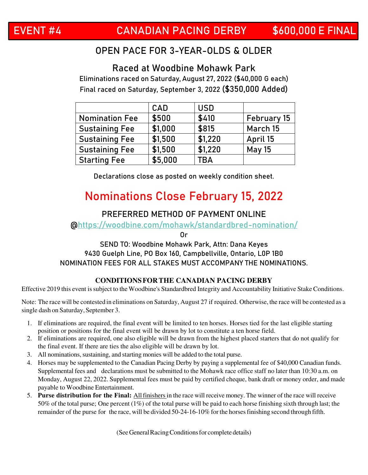### OPEN PACE FOR 3-YEAR-OLDS & OLDER

### **Raced at Woodbine Mohawk Park**

Eliminations raced on Saturday, August 27, 2022 (\$40,000 G each) Final raced on Saturday, September 3, 2022 **(\$350,000 Added)**

|                       | <b>CAD</b> | <b>USD</b> |               |
|-----------------------|------------|------------|---------------|
| <b>Nomination Fee</b> | \$500      | \$410      | February 15   |
| <b>Sustaining Fee</b> | \$1,000    | \$815      | March 15      |
| <b>Sustaining Fee</b> | \$1,500    | \$1,220    | April 15      |
| <b>Sustaining Fee</b> | \$1,500    | \$1,220    | <b>May 15</b> |
| <b>Starting Fee</b>   | \$5,000    | TBA        |               |

Declarations close as posted on weekly condition sheet.

### **Nominations Close February 15, 2022**

### **PREFERRED METHOD OF PAYMENT ONLINE**

@https://woodbine.com/mohawk/standardbred-nomination/

Or

#### **SEND TO: Woodbine Mohawk Park, Attn: Dana Keyes 9430 Guelph Line, PO Box 160, Campbellville, Ontario, L0P 1B0**  NOMINATION FEES FOR ALL STAKES MUST ACCOMPANY THE NOMINATIONS.

#### **CONDITIONS FOR THE CANADIAN PACING DERBY**

Effective 2019 this event is subject to the Woodbine's Standardbred Integrity and Accountability Initiative Stake Conditions.

Note: The race will be contested in eliminations on Saturday, August 27 if required. Otherwise, the race will be contested as a single dash on Saturday, September 3.

- 1. If eliminations are required, the final event will be limited to ten horses. Horses tied for the last eligible starting position or positions for the final event will be drawn by lot to constitute a ten horse field.
- 2. If eliminations are required, one also eligible will be drawn from the highest placed starters that do not qualify for the final event. If there are ties the also eligible will be drawn by lot.
- 3. All nominations, sustaining, and starting monies will be added to the total purse.
- 4. Horses may be supplemented to the Canadian Pacing Derby by paying a supplemental fee of \$40,000 Canadian funds. Supplemental fees and declarations must be submitted to the Mohawk race office staff no later than 10:30 a.m. on Monday, August 22, 2022. Supplemental fees must be paid by certified cheque, bank draft or money order, and made payable to Woodbine Entertainment.
- 5. **Purse distribution for the Final:** All finishers in the race will receive money. The winner of the race will receive 50% of the total purse; One percent (1%) of the total purse will be paid to each horse finishing sixth through last; the remainder of the purse for the race, will be divided 50-24-16-10% for the horses finishing second through fifth.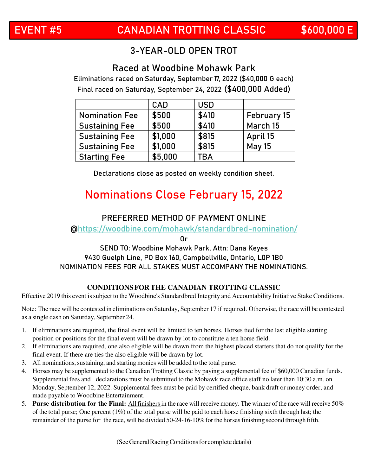### 3-YEAR-OLD OPEN TROT

### **Raced at Woodbine Mohawk Park**

Eliminations raced on Saturday, September 17, 2022 (\$40,000 G each) Final raced on Saturday, September 24, 2022 **(\$400,000 Added)** 

|                       | CAD     | <b>USD</b> |               |
|-----------------------|---------|------------|---------------|
| <b>Nomination Fee</b> | \$500   | \$410      | February 15   |
| <b>Sustaining Fee</b> | \$500   | \$410      | March 15      |
| <b>Sustaining Fee</b> | \$1,000 | \$815      | April 15      |
| <b>Sustaining Fee</b> | \$1,000 | \$815      | <b>May 15</b> |
| <b>Starting Fee</b>   | \$5,000 | <b>TBA</b> |               |

Declarations close as posted on weekly condition sheet.

### **Nominations Close February 15, 2022**

### **PREFERRED METHOD OF PAYMENT ONLINE**

@https://woodbine.com/mohawk/standardbred-nomination/

Or

### **SEND TO: Woodbine Mohawk Park, Attn: Dana Keyes 9430 Guelph Line, PO Box 160, Campbellville, Ontario, L0P 1B0**  NOMINATION FEES FOR ALL STAKES MUST ACCOMPANY THE NOMINATIONS.

#### **CONDITIONS FOR THE CANADIAN TROTTING CLASSIC**

Effective 2019 this event is subject to the Woodbine's Standardbred Integrity and Accountability Initiative Stake Conditions.

Note: The race will be contested in eliminations on Saturday, September 17 if required. Otherwise, the race will be contested as a single dash on Saturday, September 24.

- 1. If eliminations are required, the final event will be limited to ten horses. Horses tied for the last eligible starting position or positions for the final event will be drawn by lot to constitute a ten horse field.
- 2. If eliminations are required, one also eligible will be drawn from the highest placed starters that do not qualify for the final event. If there are ties the also eligible will be drawn by lot.
- 3. All nominations, sustaining, and starting monies will be added to the total purse.
- 4. Horses may be supplemented to the Canadian Trotting Classic by paying a supplemental fee of \$60,000 Canadian funds. Supplemental fees and declarations must be submitted to the Mohawk race office staff no later than 10:30 a.m. on Monday, September 12, 2022. Supplemental fees must be paid by certified cheque, bank draft or money order, and made payable to Woodbine Entertainment.
- 5. **Purse distribution for the Final:** All finishers in the race will receive money. The winner of the race will receive 50% of the total purse; One percent (1%) of the total purse will be paid to each horse finishing sixth through last; the remainder of the purse for the race, will be divided 50-24-16-10% for the horses finishing second through fifth.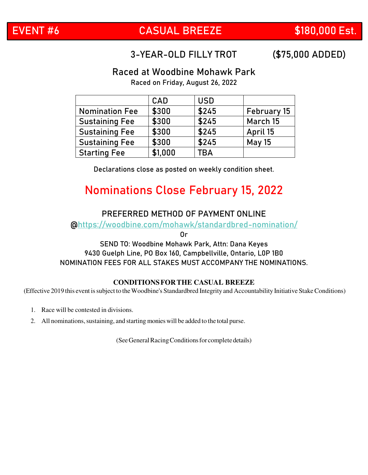### **EVENT #6 CASUAL BREEZE \$180,000 Est.**

### 3-YEAR-OLD FILLY TROT **(\$75,000 ADDED)**

### **Raced at Woodbine Mohawk Park**

Raced on Friday, August 26, 2022

|                       | <b>CAD</b> | <b>USD</b> |               |
|-----------------------|------------|------------|---------------|
| <b>Nomination Fee</b> | \$300      | \$245      | February 15   |
| <b>Sustaining Fee</b> | \$300      | \$245      | March 15      |
| <b>Sustaining Fee</b> | \$300      | \$245      | April 15      |
| <b>Sustaining Fee</b> | \$300      | \$245      | <b>May 15</b> |
| <b>Starting Fee</b>   | \$1,000    | ГBA        |               |

Declarations close as posted on weekly condition sheet.

### **Nominations Close February 15, 2022**

#### **PREFERRED METHOD OF PAYMENT ONLINE**

@https://woodbine.com/mohawk/standardbred-nomination/

Or

#### **SEND TO: Woodbine Mohawk Park, Attn: Dana Keyes 9430 Guelph Line, PO Box 160, Campbellville, Ontario, L0P 1B0**  NOMINATION FEES FOR ALL STAKES MUST ACCOMPANY THE NOMINATIONS.

#### **CONDITIONS FOR THE CASUAL BREEZE**

(Effective 2019 this event is subject to the Woodbine's Standardbred Integrity and Accountability Initiative Stake Conditions)

- 1. Race will be contested in divisions.
- 2. All nominations, sustaining, and starting monies will be added to the total purse.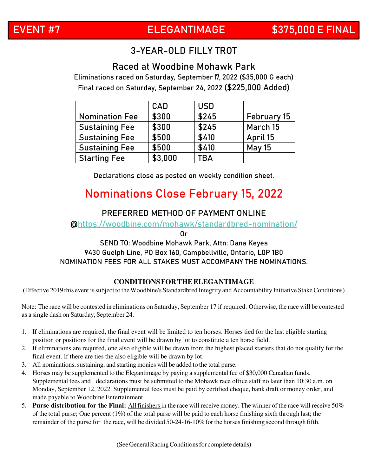### 3-YEAR-OLD FILLY TROT

### **Raced at Woodbine Mohawk Park**

Eliminations raced on Saturday, September 17, 2022 (\$35,000 G each) Final raced on Saturday, September 24, 2022 **(\$225,000 Added)**

|                       | <b>CAD</b> | <b>USD</b> |               |
|-----------------------|------------|------------|---------------|
| <b>Nomination Fee</b> | \$300      | \$245      | February 15   |
| <b>Sustaining Fee</b> | \$300      | \$245      | March 15      |
| <b>Sustaining Fee</b> | \$500      | \$410      | April 15      |
| <b>Sustaining Fee</b> | \$500      | \$410      | <b>May 15</b> |
| <b>Starting Fee</b>   | \$3,000    | TBA        |               |

Declarations close as posted on weekly condition sheet.

### **Nominations Close February 15, 2022**

#### **PREFERRED METHOD OF PAYMENT ONLINE**

@https://woodbine.com/mohawk/standardbred-nomination/

Or

#### **SEND TO: Woodbine Mohawk Park, Attn: Dana Keyes 9430 Guelph Line, PO Box 160, Campbellville, Ontario, L0P 1B0**  NOMINATION FEES FOR ALL STAKES MUST ACCOMPANY THE NOMINATIONS.

#### **CONDITIONS FOR THE ELEGANTIMAGE**

(Effective 2019 this event is subject to the Woodbine's Standardbred Integrity and Accountability Initiative Stake Conditions)

Note: The race will be contested in eliminations on Saturday, September 17 if required. Otherwise, the race will be contested as a single dash on Saturday, September 24.

- 1. If eliminations are required, the final event will be limited to ten horses. Horses tied for the last eligible starting position or positions for the final event will be drawn by lot to constitute a ten horse field.
- 2. If eliminations are required, one also eligible will be drawn from the highest placed starters that do not qualify for the final event. If there are ties the also eligible will be drawn by lot.
- 3. All nominations, sustaining, and starting monies will be added to the total purse.
- 4. Horses may be supplemented to the Elegantimage by paying a supplemental fee of \$30,000 Canadian funds. Supplemental fees and declarations must be submitted to the Mohawk race office staff no later than 10:30 a.m. on Monday, September 12, 2022. Supplemental fees must be paid by certified cheque, bank draft or money order, and made payable to Woodbine Entertainment.
- 5. **Purse distribution for the Final:** All finishers in the race will receive money. The winner of the race will receive 50% of the total purse; One percent  $(1\%)$  of the total purse will be paid to each horse finishing sixth through last; the remainder of the purse for the race, will be divided 50-24-16-10% for the horses finishing second through fifth.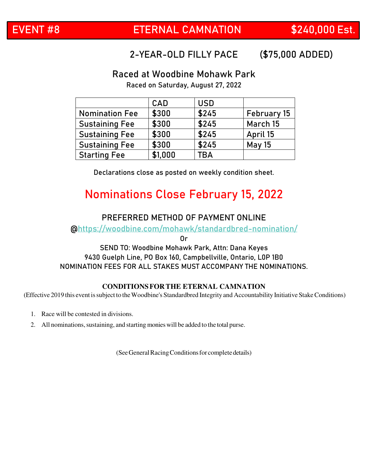### 2-YEAR-OLD FILLY PACE **(\$75,000 ADDED)**

### **Raced at Woodbine Mohawk Park**

Raced on Saturday, August 27, 2022

|                       | CAD     | <b>USD</b> |               |
|-----------------------|---------|------------|---------------|
| <b>Nomination Fee</b> | \$300   | \$245      | February 15   |
| <b>Sustaining Fee</b> | \$300   | \$245      | March 15      |
| <b>Sustaining Fee</b> | \$300   | \$245      | April 15      |
| <b>Sustaining Fee</b> | \$300   | \$245      | <b>May 15</b> |
| <b>Starting Fee</b>   | \$1,000 | <b>TBA</b> |               |

Declarations close as posted on weekly condition sheet.

### **Nominations Close February 15, 2022**

### **PREFERRED METHOD OF PAYMENT ONLINE**

@https://woodbine.com/mohawk/standardbred-nomination/

Or

**SEND TO: Woodbine Mohawk Park, Attn: Dana Keyes 9430 Guelph Line, PO Box 160, Campbellville, Ontario, L0P 1B0**  NOMINATION FEES FOR ALL STAKES MUST ACCOMPANY THE NOMINATIONS.

#### **CONDITIONS FOR THE ETERNAL CAMNATION**

(Effective 2019 this event is subject to the Woodbine's Standardbred Integrity and Accountability Initiative Stake Conditions)

- 1. Race will be contested in divisions.
- 2. All nominations, sustaining, and starting monies will be added to the total purse.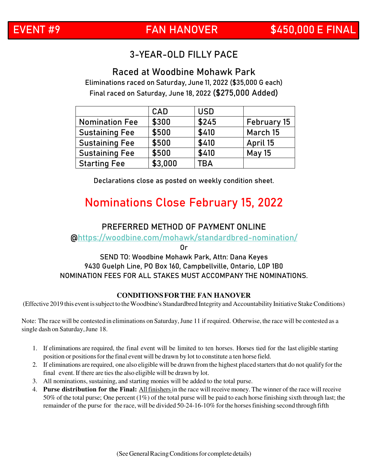### 3-YEAR-OLD FILLY PACE

**Raced at Woodbine Mohawk Park** Eliminations raced on Saturday, June 11, 2022 (\$35,000 G each) Final raced on Saturday, June 18, 2022 **(\$275,000 Added)**

|                       | <b>CAD</b> | <b>USD</b> |               |
|-----------------------|------------|------------|---------------|
| <b>Nomination Fee</b> | \$300      | \$245      | February 15   |
| <b>Sustaining Fee</b> | \$500      | \$410      | March 15      |
| <b>Sustaining Fee</b> | \$500      | \$410      | April 15      |
| <b>Sustaining Fee</b> | \$500      | \$410      | <b>May 15</b> |
| <b>Starting Fee</b>   | \$3,000    | <b>TBA</b> |               |

Declarations close as posted on weekly condition sheet.

### **Nominations Close February 15, 2022**

### **PREFERRED METHOD OF PAYMENT ONLINE**

@https://woodbine.com/mohawk/standardbred-nomination/

Or

#### **SEND TO: Woodbine Mohawk Park, Attn: Dana Keyes 9430 Guelph Line, PO Box 160, Campbellville, Ontario, L0P 1B0**  NOMINATION FEES FOR ALL STAKES MUST ACCOMPANY THE NOMINATIONS.

#### **CONDITIONS FOR THE FAN HANOVER**

(Effective 2019 this event is subject to the Woodbine's Standardbred Integrity and Accountability Initiative Stake Conditions)

Note: The race will be contested in eliminations on Saturday, June 11 if required. Otherwise, the race will be contested as a single dash on Saturday, June 18.

- 1. If eliminations are required, the final event will be limited to ten horses. Horses tied for the last eligible starting position or positions for the final event will be drawn by lot to constitute a ten horse field.
- 2. If eliminations are required, one also eligible will be drawn from the highest placed starters that do not qualify for the final event. If there are ties the also eligible will be drawn by lot.
- 3. All nominations, sustaining, and starting monies will be added to the total purse.
- 4. **Purse distribution for the Final:** All finishers in the race will receive money. The winner of the race will receive 50% of the total purse; One percent (1%) of the total purse will be paid to each horse finishing sixth through last; the remainder of the purse for the race, will be divided 50-24-16-10% for the horses finishing second through fifth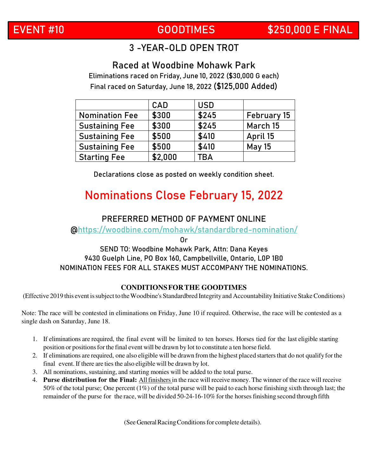### **EVENT #10 GOODTIMES \$250,000 E FINAL**

### 3 -YEAR-OLD OPEN TROT

### **Raced at Woodbine Mohawk Park**

Eliminations raced on Friday, June 10, 2022 (\$30,000 G each) Final raced on Saturday, June 18, 2022 **(\$125,000 Added)**

|                       | CAD     | <b>USD</b> |               |
|-----------------------|---------|------------|---------------|
| <b>Nomination Fee</b> | \$300   | \$245      | February 15   |
| <b>Sustaining Fee</b> | \$300   | \$245      | March 15      |
| <b>Sustaining Fee</b> | \$500   | \$410      | April 15      |
| <b>Sustaining Fee</b> | \$500   | \$410      | <b>May 15</b> |
| <b>Starting Fee</b>   | \$2,000 | <b>TBA</b> |               |

Declarations close as posted on weekly condition sheet.

### **Nominations Close February 15, 2022**

### **PREFERRED METHOD OF PAYMENT ONLINE**

@https://woodbine.com/mohawk/standardbred-nomination/

Or

### **SEND TO: Woodbine Mohawk Park, Attn: Dana Keyes 9430 Guelph Line, PO Box 160, Campbellville, Ontario, L0P 1B0**  NOMINATION FEES FOR ALL STAKES MUST ACCOMPANY THE NOMINATIONS.

#### **CONDITIONS FOR THE GOODTIMES**

(Effective 2019 this event is subject to the Woodbine's Standardbred Integrity and Accountability Initiative Stake Conditions)

Note: The race will be contested in eliminations on Friday, June 10 if required. Otherwise, the race will be contested as a single dash on Saturday, June 18.

- 1. If eliminations are required, the final event will be limited to ten horses. Horses tied for the last eligible starting position or positions for the final event will be drawn by lot to constitute a ten horse field.
- 2. If eliminations are required, one also eligible will be drawn from the highest placed starters that do not qualify for the final event. If there are ties the also eligible will be drawn by lot.
- 3. All nominations, sustaining, and starting monies will be added to the total purse.
- 4. **Purse distribution for the Final:** All finishers in the race will receive money. The winner of the race will receive 50% of the total purse; One percent (1%) of the total purse will be paid to each horse finishing sixth through last; the remainder of the purse for the race, will be divided 50-24-16-10% for the horses finishing second through fifth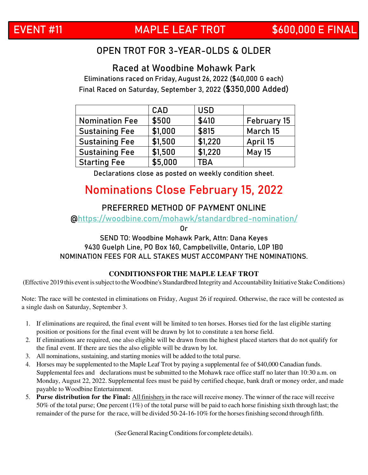### OPEN TROT FOR 3-YEAR-OLDS & OLDER

**Raced at Woodbine Mohawk Park**

Eliminations raced on Friday, August 26, 2022 (\$40,000 G each) Final Raced on Saturday, September 3, 2022 **(\$350,000 Added)**

|                       | <b>CAD</b> | <b>USD</b> |               |
|-----------------------|------------|------------|---------------|
| <b>Nomination Fee</b> | \$500      | \$410      | February 15   |
| <b>Sustaining Fee</b> | \$1,000    | \$815      | March 15      |
| <b>Sustaining Fee</b> | \$1,500    | \$1,220    | April 15      |
| <b>Sustaining Fee</b> | \$1,500    | \$1,220    | <b>May 15</b> |
| <b>Starting Fee</b>   | \$5,000    | TBA        |               |

Declarations close as posted on weekly condition sheet.

### **Nominations Close February 15, 2022**

### **PREFERRED METHOD OF PAYMENT ONLINE**

@https://woodbine.com/mohawk/standardbred-nomination/

Or

**SEND TO: Woodbine Mohawk Park, Attn: Dana Keyes 9430 Guelph Line, PO Box 160, Campbellville, Ontario, L0P 1B0**  NOMINATION FEES FOR ALL STAKES MUST ACCOMPANY THE NOMINATIONS.

#### **CONDITIONS FOR THE MAPLE LEAF TROT**

(Effective 2019 this event is subject to the Woodbine's Standardbred Integrity and Accountability Initiative Stake Conditions)

Note: The race will be contested in eliminations on Friday, August 26 if required. Otherwise, the race will be contested as a single dash on Saturday, September 3.

- 1. If eliminations are required, the final event will be limited to ten horses. Horses tied for the last eligible starting position or positions for the final event will be drawn by lot to constitute a ten horse field.
- 2. If eliminations are required, one also eligible will be drawn from the highest placed starters that do not qualify for the final event. If there are ties the also eligible will be drawn by lot.
- 3. All nominations, sustaining, and starting monies will be added to the total purse.
- 4. Horses may be supplemented to the Maple Leaf Trot by paying a supplemental fee of \$40,000 Canadian funds. Supplemental fees and declarations must be submitted to the Mohawk race office staff no later than 10:30 a.m. on Monday, August 22, 2022. Supplemental fees must be paid by certified cheque, bank draft or money order, and made payable to Woodbine Entertainment.
- 5. **Purse distribution for the Final:** All finishers in the race will receive money. The winner of the race will receive 50% of the total purse; One percent (1%) of the total purse will be paid to each horse finishing sixth through last; the remainder of the purse for the race, will be divided 50-24-16-10% for the horses finishing second through fifth.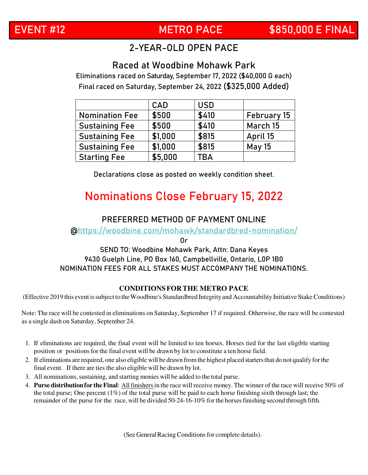### **EVENT #12 METRO PACE \$850,000 E FINAL**

### 2-YEAR-OLD OPEN PACE

### **Raced at Woodbine Mohawk Park**

Eliminations raced on Saturday, September 17, 2022 (\$40,000 G each) Final raced on Saturday, September 24, 2022 **(\$325,000 Added)**

|                       | <b>CAD</b> | <b>USD</b> |               |
|-----------------------|------------|------------|---------------|
| <b>Nomination Fee</b> | \$500      | \$410      | February 15   |
| <b>Sustaining Fee</b> | \$500      | \$410      | March 15      |
| <b>Sustaining Fee</b> | \$1,000    | \$815      | April 15      |
| <b>Sustaining Fee</b> | \$1,000    | \$815      | <b>May 15</b> |
| <b>Starting Fee</b>   | \$5,000    | <b>FBA</b> |               |

Declarations close as posted on weekly condition sheet.

### **Nominations Close February 15, 2022**

#### **PREFERRED METHOD OF PAYMENT ONLINE**

@https://woodbine.com/mohawk/standardbred-nomination/

Or

#### **SEND TO: Woodbine Mohawk Park, Attn: Dana Keyes 9430 Guelph Line, PO Box 160, Campbellville, Ontario, L0P 1B0**  NOMINATION FEES FOR ALL STAKES MUST ACCOMPANY THE NOMINATIONS.

#### **CONDITIONS FOR THE METRO PACE**

(Effective 2019 this event is subject to the Woodbine's Standardbred Integrity and Accountability Initiative Stake Conditions)

Note: The race will be contested in eliminations on Saturday, September 17 if required. Otherwise, the race will be contested as a single dash on Saturday, September 24.

- 1. If eliminations are required, the final event will be limited to ten horses. Horses tied for the last eligible starting position or positions for the final event will be drawn by lot to constitute a ten horse field.
- 2. If eliminations are required, one also eligible will be drawn from the highest placed starters that do not qualify for the final event. If there are ties the also eligible will be drawn by lot.
- 3. All nominations, sustaining, and starting monies will be added to the total purse.
- 4. **Purse distribution for the Final**: All finishers in the race will receive money. The winner of the race will receive 50% of the total purse; One percent (1%) of the total purse will be paid to each horse finishing sixth through last; the remainder of the purse for the race, will be divided 50-24-16-10% for the horses finishing second through fifth.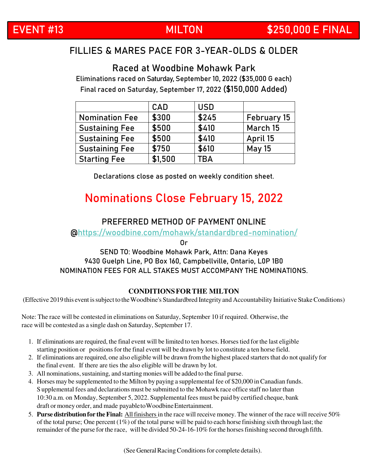### **EVENT #13 MILTON \$250,000 E FINAL**

### FILLIES & MARES PACE FOR 3-YEAR-OLDS & OLDER

### **Raced at Woodbine Mohawk Park**

Eliminations raced on Saturday, September 10, 2022 (\$35,000 G each) Final raced on Saturday, September 17, 2022 **(\$150,000 Added)**

|                       | <b>CAD</b> | <b>USD</b> |               |
|-----------------------|------------|------------|---------------|
| <b>Nomination Fee</b> | \$300      | \$245      | February 15   |
| <b>Sustaining Fee</b> | \$500      | \$410      | March 15      |
| <b>Sustaining Fee</b> | \$500      | \$410      | April 15      |
| <b>Sustaining Fee</b> | \$750      | \$610      | <b>May 15</b> |
| <b>Starting Fee</b>   | \$1,500    | TBA        |               |

Declarations close as posted on weekly condition sheet.

### **Nominations Close February 15, 2022**

### **PREFERRED METHOD OF PAYMENT ONLINE**

@https://woodbine.com/mohawk/standardbred-nomination/

Or

#### **SEND TO: Woodbine Mohawk Park, Attn: Dana Keyes 9430 Guelph Line, PO Box 160, Campbellville, Ontario, L0P 1B0**  NOMINATION FEES FOR ALL STAKES MUST ACCOMPANY THE NOMINATIONS.

#### **CONDITIONS FOR THE MILTON**

(Effective 2019 this event is subject to the Woodbine's Standardbred Integrity and Accountability Initiative Stake Conditions)

Note: The race will be contested in eliminations on Saturday, September 10 if required. Otherwise, the race will be contested as a single dash on Saturday, September 17.

- 1. If eliminations are required, the final event will be limited to ten horses. Horses tied for the last eligible starting position or positions for the final event will be drawn by lot to constitute a ten horse field.
- 2. If eliminations are required, one also eligible will be drawn from the highest placed starters that do not qualify for the final event. If there are ties the also eligible will be drawn by lot.
- 3. All nominations, sustaining, and starting monies will be added to the final purse.
- 4. Horses may be supplemented to the Milton by paying a supplemental fee of \$20,000 in Canadian funds. S upplemental fees and declarations must be submitted to the Mohawk race office staff no later than 10:30 a.m. on Monday, September 5, 2022. Supplemental fees must be paid by certified cheque, bank draft or money order, and made payable to Woodbine Entertainment.
- 5. **Purse distribution for the Final:** All finishers in the race will receive money. The winner of the race will receive 50% of the total purse; One percent (1%) of the total purse will be paid to each horse finishing sixth through last; the remainder of the purse for the race, will be divided 50-24-16-10% for the horses finishing second through fifth.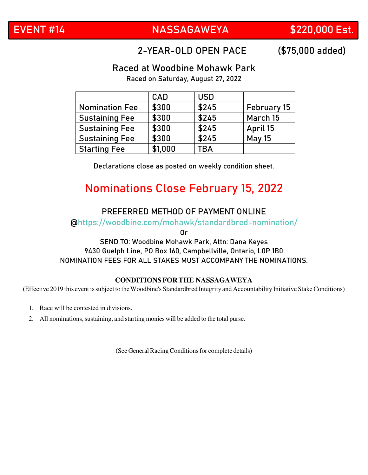### **EVENT #14 NASSAGAWEYA \$220,000 Est.**

### 2-YEAR-OLD OPEN PACE **(\$75,000 added)**

### **Raced at Woodbine Mohawk Park**

Raced on Saturday, August 27, 2022

|                       | CAD     | <b>USD</b> |               |
|-----------------------|---------|------------|---------------|
| <b>Nomination Fee</b> | \$300   | \$245      | February 15   |
| <b>Sustaining Fee</b> | \$300   | \$245      | March 15      |
| <b>Sustaining Fee</b> | \$300   | \$245      | April 15      |
| <b>Sustaining Fee</b> | \$300   | \$245      | <b>May 15</b> |
| <b>Starting Fee</b>   | \$1,000 | TBA        |               |

Declarations close as posted on weekly condition sheet.

### **Nominations Close February 15, 2022**

### **PREFERRED METHOD OF PAYMENT ONLINE**

@https://woodbine.com/mohawk/standardbred-nomination/

Or

#### **SEND TO: Woodbine Mohawk Park, Attn: Dana Keyes 9430 Guelph Line, PO Box 160, Campbellville, Ontario, L0P 1B0**  NOMINATION FEES FOR ALL STAKES MUST ACCOMPANY THE NOMINATIONS.

#### **CONDITIONS FOR THE NASSAGAWEYA**

(Effective 2019 this event is subject to the Woodbine's Standardbred Integrity and Accountability Initiative Stake Conditions)

- 1. Race will be contested in divisions.
- 2. All nominations, sustaining, and starting monies will be added to the total purse.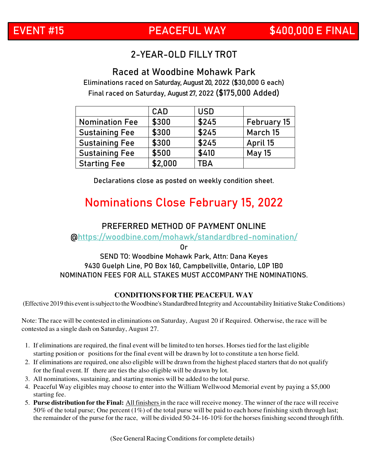### 2-YEAR-OLD FILLY TROT

**Raced at Woodbine Mohawk Park** Eliminations raced on Saturday, August 20, 2022 (\$30,000 G each) Final raced on Saturday, August 27, 2022 **(\$175,000 Added)**

|                       | <b>CAD</b> | <b>USD</b> |               |
|-----------------------|------------|------------|---------------|
| <b>Nomination Fee</b> | \$300      | \$245      | February 15   |
| <b>Sustaining Fee</b> | \$300      | \$245      | March 15      |
| <b>Sustaining Fee</b> | \$300      | \$245      | April 15      |
| <b>Sustaining Fee</b> | \$500      | \$410      | <b>May 15</b> |
| <b>Starting Fee</b>   | \$2,000    | <b>TBA</b> |               |

Declarations close as posted on weekly condition sheet.

### **Nominations Close February 15, 2022**

#### **PREFERRED METHOD OF PAYMENT ONLINE**

@https://woodbine.com/mohawk/standardbred-nomination/

Or

#### **SEND TO: Woodbine Mohawk Park, Attn: Dana Keyes 9430 Guelph Line, PO Box 160, Campbellville, Ontario, L0P 1B0**  NOMINATION FEES FOR ALL STAKES MUST ACCOMPANY THE NOMINATIONS.

#### **CONDITIONS FOR THE PEACEFUL WAY**

(Effective 2019 this event is subject to the Woodbine's Standardbred Integrity and Accountability Initiative Stake Conditions)

Note: The race will be contested in eliminations on Saturday, August 20 if Required. Otherwise, the race will be contested as a single dash on Saturday, August 27.

- 1. If eliminations are required, the final event will be limited to ten horses. Horses tied for the last eligible starting position or positions for the final event will be drawn by lot to constitute a ten horse field.
- 2. If eliminations are required, one also eligible will be drawn from the highest placed starters that do not qualify for the final event. If there are ties the also eligible will be drawn by lot.
- 3. All nominations, sustaining, and starting monies will be added to the total purse.
- 4. Peaceful Way eligibles may choose to enter into the William Wellwood Memorial event by paying a \$5,000 starting fee.
- 5. **Purse distribution for the Final:** All finishers in the race will receive money. The winner of the race will receive 50% of the total purse; One percent  $(1\%)$  of the total purse will be paid to each horse finishing sixth through last; the remainder of the purse for the race, will be divided 50-24-16-10% for the horses finishing second through fifth.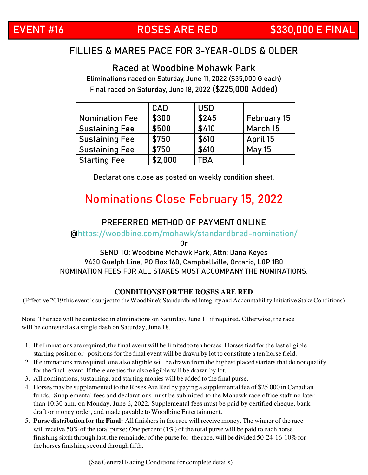### **EVENT #16 ROSES ARE RED \$330,000 E FINAL**

### FILLIES & MARES PACE FOR 3-YEAR-OLDS & OLDER

**Raced at Woodbine Mohawk Park**

Eliminations raced on Saturday, June 11, 2022 (\$35,000 G each) Final raced on Saturday, June 18, 2022 **(\$225,000 Added)**

|                       | <b>CAD</b> | <b>USD</b> |               |
|-----------------------|------------|------------|---------------|
| <b>Nomination Fee</b> | \$300      | \$245      | February 15   |
| <b>Sustaining Fee</b> | \$500      | \$410      | March 15      |
| <b>Sustaining Fee</b> | \$750      | \$610      | April 15      |
| <b>Sustaining Fee</b> | \$750      | \$610      | <b>May 15</b> |
| <b>Starting Fee</b>   | \$2,000    | TBA        |               |

Declarations close as posted on weekly condition sheet.

### **Nominations Close February 15, 2022**

### **PREFERRED METHOD OF PAYMENT ONLINE**

@https://woodbine.com/mohawk/standardbred-nomination/

Or

#### **SEND TO: Woodbine Mohawk Park, Attn: Dana Keyes 9430 Guelph Line, PO Box 160, Campbellville, Ontario, L0P 1B0**  NOMINATION FEES FOR ALL STAKES MUST ACCOMPANY THE NOMINATIONS.

#### **CONDITIONS FOR THE ROSES ARE RED**

(Effective 2019 this event is subject to the Woodbine's Standardbred Integrity and Accountability Initiative Stake Conditions)

Note: The race will be contested in eliminations on Saturday, June 11 if required. Otherwise, the race will be contested as a single dash on Saturday, June 18.

- 1. If eliminations are required, the final event will be limited to ten horses. Horses tied for the last eligible starting position or positions for the final event will be drawn by lot to constitute a ten horse field.
- 2. If eliminations are required, one also eligible will be drawn from the highest placed starters that do not qualify for the final event. If there are ties the also eligible will be drawn by lot.
- 3. All nominations, sustaining, and starting monies will be added to the final purse.
- 4. Horses may be supplemented to the Roses Are Red by paying a supplemental fee of \$25,000 in Canadian funds. Supplemental fees and declarations must be submitted to the Mohawk race office staff no later than 10:30 a.m. on Monday, June 6, 2022. Supplemental fees must be paid by certified cheque, bank draft or money order, and made payable to Woodbine Entertainment.
- 5. **Purse distribution for the Final:** All finishers in the race will receive money. The winner of the race will receive 50% of the total purse; One percent  $(1\%)$  of the total purse will be paid to each horse finishing sixth through last; the remainder of the purse for the race, will be divided 50-24-16-10% for the horses finishing second through fifth.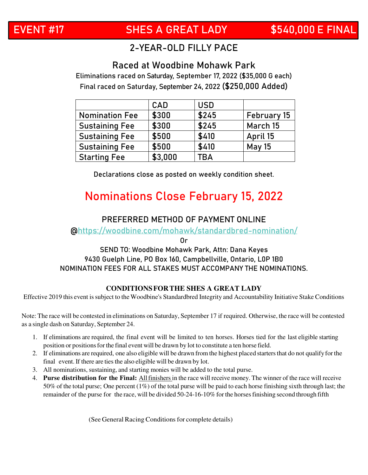### **EVENT #17 SHES A GREAT LADY \$540,000 E FINAL**

### 2-YEAR-OLD FILLY PACE

### **Raced at Woodbine Mohawk Park**

Eliminations raced on Saturday, September 17, 2022 (\$35,000 G each) Final raced on Saturday, September 24, 2022 **(\$250,000 Added)**

|                       | <b>CAD</b> | <b>USD</b> |               |
|-----------------------|------------|------------|---------------|
| <b>Nomination Fee</b> | \$300      | \$245      | February 15   |
| <b>Sustaining Fee</b> | \$300      | \$245      | March 15      |
| <b>Sustaining Fee</b> | \$500      | \$410      | April 15      |
| <b>Sustaining Fee</b> | \$500      | \$410      | <b>May 15</b> |
| <b>Starting Fee</b>   | \$3,000    | TBA        |               |

Declarations close as posted on weekly condition sheet.

### **Nominations Close February 15, 2022**

### **PREFERRED METHOD OF PAYMENT ONLINE**

@https://woodbine.com/mohawk/standardbred-nomination/

Or

#### **SEND TO: Woodbine Mohawk Park, Attn: Dana Keyes 9430 Guelph Line, PO Box 160, Campbellville, Ontario, L0P 1B0**  NOMINATION FEES FOR ALL STAKES MUST ACCOMPANY THE NOMINATIONS.

#### **CONDITIONS FOR THE SHES A GREAT LADY**

Effective 2019 this event is subject to the Woodbine's Standardbred Integrity and Accountability Initiative Stake Conditions

Note: The race will be contested in eliminations on Saturday, September 17 if required. Otherwise, the race will be contested as a single dash on Saturday, September 24.

- 1. If eliminations are required, the final event will be limited to ten horses. Horses tied for the last eligible starting position or positions for the final event will be drawn by lot to constitute a ten horse field.
- 2. If eliminations are required, one also eligible will be drawn from the highest placed starters that do not qualify for the final event. If there are ties the also eligible will be drawn by lot.
- 3. All nominations, sustaining, and starting monies will be added to the total purse.
- 4. **Purse distribution for the Final:** All finishers in the race will receive money. The winner of the race will receive 50% of the total purse; One percent (1%) of the total purse will be paid to each horse finishing sixth through last; the remainder of the purse for the race, will be divided 50-24-16-10% for the horses finishing second through fifth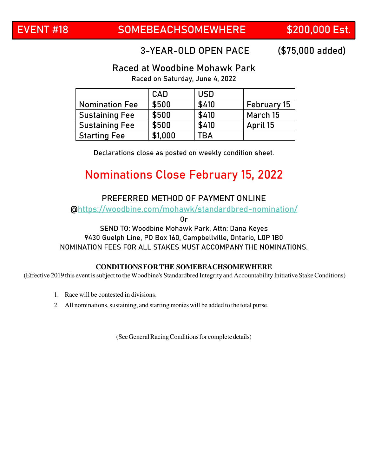### 3-YEAR-OLD OPEN PACE **(\$75,000 added)**

### **Raced at Woodbine Mohawk Park**

Raced on Saturday, June 4, 2022

|                       | <b>CAD</b> | <b>USD</b> |             |
|-----------------------|------------|------------|-------------|
| <b>Nomination Fee</b> | \$500      | \$410      | February 15 |
| <b>Sustaining Fee</b> | \$500      | \$410      | March 15    |
| <b>Sustaining Fee</b> | \$500      | \$410      | April 15    |
| <b>Starting Fee</b>   | \$1,000    | TBA        |             |

Declarations close as posted on weekly condition sheet.

### **Nominations Close February 15, 2022**

### **PREFERRED METHOD OF PAYMENT ONLINE**

@https://woodbine.com/mohawk/standardbred-nomination/

Or

#### **SEND TO: Woodbine Mohawk Park, Attn: Dana Keyes 9430 Guelph Line, PO Box 160, Campbellville, Ontario, L0P 1B0**  NOMINATION FEES FOR ALL STAKES MUST ACCOMPANY THE NOMINATIONS.

#### **CONDITIONS FOR THE SOMEBEACHSOMEWHERE**

(Effective 2019 this event is subject to the Woodbine's Standardbred Integrity and Accountability Initiative Stake Conditions)

- 1. Race will be contested in divisions.
- 2. All nominations, sustaining, and starting monies will be added to the total purse.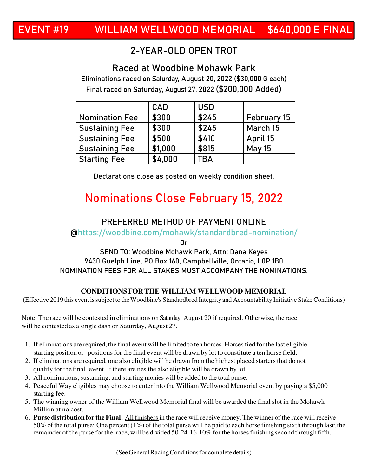### 2-YEAR-OLD OPEN TROT

### **Raced at Woodbine Mohawk Park**

Eliminations raced on Saturday, August 20, 2022 (\$30,000 G each) Final raced on Saturday, August 27, 2022 **(\$200,000 Added)**

|                       | <b>CAD</b> | <b>USD</b> |               |
|-----------------------|------------|------------|---------------|
| <b>Nomination Fee</b> | \$300      | \$245      | February 15   |
| <b>Sustaining Fee</b> | \$300      | \$245      | March 15      |
| <b>Sustaining Fee</b> | \$500      | \$410      | April 15      |
| <b>Sustaining Fee</b> | \$1,000    | \$815      | <b>May 15</b> |
| <b>Starting Fee</b>   | \$4,000    | <b>TBA</b> |               |

Declarations close as posted on weekly condition sheet.

### **Nominations Close February 15, 2022**

### **PREFERRED METHOD OF PAYMENT ONLINE**

@https://woodbine.com/mohawk/standardbred-nomination/

Or

#### **SEND TO: Woodbine Mohawk Park, Attn: Dana Keyes 9430 Guelph Line, PO Box 160, Campbellville, Ontario, L0P 1B0**  NOMINATION FEES FOR ALL STAKES MUST ACCOMPANY THE NOMINATIONS.

#### **CONDITIONS FOR THE WILLIAM WELLWOOD MEMORIAL**

(Effective 2019 this event is subject to the Woodbine's Standardbred Integrity and Accountability Initiative Stake Conditions)

Note: The race will be contested in eliminations on Saturday, August 20 if required. Otherwise, the race will be contested as a single dash on Saturday, August 27.

- 1. If eliminations are required, the final event will be limited to ten horses. Horses tied for the last eligible starting position or positions for the final event will be drawn by lot to constitute a ten horse field.
- 2. If eliminations are required, one also eligible will be drawn from the highest placed starters that do not qualify for the final event. If there are ties the also eligible will be drawn by lot.
- 3. All nominations, sustaining, and starting monies will be added to the total purse.
- 4. Peaceful Way eligibles may choose to enter into the William Wellwood Memorial event by paying a \$5,000 starting fee.
- 5. The winning owner of the William Wellwood Memorial final will be awarded the final slot in the Mohawk Million at no cost.
- 6. **Purse distribution for the Final:** All finishers in the race will receive money. The winner of the race will receive 50% of the total purse; One percent (1%) of the total purse will be paid to each horse finishing sixth through last; the remainder of the purse for the race, will be divided 50-24-16-10% for the horses finishing second through fifth.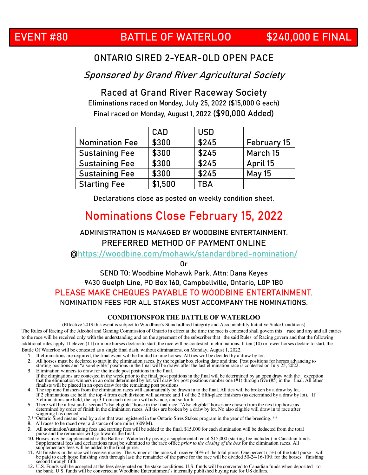### ONTARIO SIRED 2-YEAR-OLD OPEN PACE

Sponsored by Grand River Agricultural Society

**Raced at Grand River Raceway Society** Eliminations raced on Monday, July 25, 2022 (\$15,000 G each) Final raced on Monday, August 1, 2022 **(\$90,000 Added)**

|                       | CAD     | <b>USD</b> |               |
|-----------------------|---------|------------|---------------|
| <b>Nomination Fee</b> | \$300   | \$245      | February 15   |
| <b>Sustaining Fee</b> | \$300   | \$245      | March 15      |
| <b>Sustaining Fee</b> | \$300   | \$245      | April 15      |
| <b>Sustaining Fee</b> | \$300   | \$245      | <b>May 15</b> |
| <b>Starting Fee</b>   | \$1,500 | TBA        |               |

Declarations close as posted on weekly condition sheet.

### **Nominations Close February 15, 2022**

### ADMINISTRATION IS MANAGED BY WOODBINE ENTERTAINMENT. **PREFERRED METHOD OF PAYMENT ONLINE**

@https://woodbine.com/mohawk/standardbred-nomination/

Or

#### **SEND TO: Woodbine Mohawk Park, Attn: Dana Keyes 9430 Guelph Line, PO Box 160, Campbellville, Ontario, L0P 1B0 PLEASE MAKE CHEQUES PAYABLE TO WOODBINE ENTERTAINMENT.**  NOMINATION FEES FOR ALL STAKES MUST ACCOMPANY THE NOMINATIONS.

#### **CONDITIONS FOR THE BATTLE OF WATERLOO**

(Effective 2019 this event is subject to Woodbine's Standardbred Integrity and Accountability Initiative Stake Conditions) The Rules of Racing of the Alcohol and Gaming Commission of Ontario in effect at the time the race is contested shall govern this race and any and all entries to the race will be received only with the understanding and on the agreement of the subscriber that the said Rules of Racing govern and that the following additional rules apply. If eleven (11) or more horses declare to start, the race will be contested in eliminations. If ten (10) or fewer horses declare to start, the Battle Of Waterloo will be contested as a single final dash, without eliminations, on Monday, August 1, 2022.

- 
- 1. If eliminations are required, the final event will be limited to nine horses. All ties will be decided by a draw by lot.<br>2. All horses must be declared to start in the elimination races, by the regular box closing date
- 2. All horses must be declared to start in the elimination races, by the regular box closing date and time. Post positions for horses advancing to starting positions and "also-eligible" positions in the final will be drawn
- 3. Elimination winners to draw for the inside post positions in the final. If the eliminations are contested in the week prior to the final, post positions in the final will be determined by an open draw with the exception that the elimination winners in an order determined by lot, will draw for
- 4. The top nine finishers from the elimination races will automatically be drawn in to the final. All ties will be broken by a draw by lot. If 2 eliminations are held, the top 4 from each division will advance and 1 of the 2 fifth-place finishers (as determined by a draw by lot). If 3 eliminations are held, the top 3 from each division will advance, and so for
- wagering has opened.
- 7.\*\*Ontario Sired means bred by a sire that was registered in the Ontario Sires Stakes program in the year of the breeding. \*\* 8. All races to be raced over a distance of one mile (1609 M).
- 
- 
- 9. All nomination/sustaining fees and starting fees will be added to the final. \$15,000 for each elimination will be deducted from the total<br>purse and the remainder will go towards the final.<br>10. Horses may be supplemente
- 11. All finishers in the race will receive money. The winner of the race will receive 50% of the total purse. One percent (1%) of the total purse will be paid to each horse finishing sixth through last; the remainder of th second through fifth.
- 12. U.S. Funds will be accepted at the fees designated on the stake conditions. U.S. funds will be converted to Canadian funds when deposited to the bank. U.S. funds will be converted at Woodbine Entertainment's internally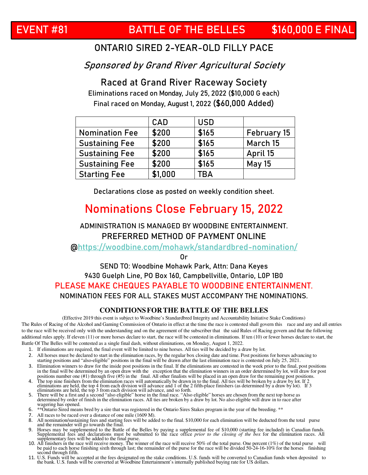Sponsored by Grand River Agricultural Society

**Raced at Grand River Raceway Society** Eliminations raced on Monday, July 25, 2022 (\$10,000 G each) Final raced on Monday, August 1, 2022 **(\$60,000 Added)**

|                       | <b>CAD</b> | <b>USD</b> |               |
|-----------------------|------------|------------|---------------|
| <b>Nomination Fee</b> | \$200      | \$165      | February 15   |
| <b>Sustaining Fee</b> | \$200      | \$165      | March 15      |
| <b>Sustaining Fee</b> | \$200      | \$165      | April 15      |
| <b>Sustaining Fee</b> | \$200      | \$165      | <b>May 15</b> |
| <b>Starting Fee</b>   | \$1,000    | TBA        |               |

Declarations close as posted on weekly condition sheet.

### **Nominations Close February 15, 2022**

ADMINISTRATION IS MANAGED BY WOODBINE ENTERTAINMENT. **PREFERRED METHOD OF PAYMENT ONLINE** 

@https://woodbine.com/mohawk/standardbred-nomination/

Or

### **SEND TO: Woodbine Mohawk Park, Attn: Dana Keyes 9430 Guelph Line, PO Box 160, Campbellville, Ontario, L0P 1B0 PLEASE MAKE CHEQUES PAYABLE TO WOODBINE ENTERTAINMENT.**

NOMINATION FEES FOR ALL STAKES MUST ACCOMPANY THE NOMINATIONS.

#### **CONDITIONS FOR THE BATTLE OF THE BELLES**

(Effective 2019 this event is subject to Woodbine's Standardbred Integrity and Accountability Initiative Stake Conditions) The Rules of Racing of the Alcohol and Gaming Commission of Ontario in effect at the time the race is contested shall govern this race and any and all entries to the race will be received only with the understanding and on the agreement of the subscriber that the said Rules of Racing govern and that the following additional rules apply. If eleven (11) or more horses declare to start, the race will be contested in eliminations. If ten (10) or fewer horses declare to start, the Battle Of The Belles will be contested as a single final dash, without eliminations, on Monday, August 1, 2022.

- 1. If eliminations are required, the final event will be limited to nine horses. All ties will be decided by a draw by lot.<br>2. All horses must be declared to start in the elimination races, by the regular box closing date
- 2. All horses must be declared to start in the elimination races, by the regular box closing date and time. Post positions for horses advancing to starting positions and "also‐eligible" positions in the final will be drawn after the last elimination race is contested on July 25, 2021.
- 3. Elimination winners to draw for the inside post positions in the final. If the eliminations are contested in the week prior to the final, post positions in the final will be determined by an open draw with the exception that the elimination winners in an order determined by lot, will draw for post positions number one (#1) through five (#5) in the final. All other finalists will be placed in an open draw for the remaining post positions.
- 4. The top nine finishers from the elimination races will automatically be drawn in to the final. All ties will be broken by a draw by lot. If 2 eliminations are held, the top 4 from each division will advance and 1 of the
- eliminations are held, the top 3 from each division will advance, and so forth.<br>5. There will be a first and a second "also eligible" horse in the final race. "Also eligible" horses are chosen from the next top horse as de wagering has opened.
- 6. \*\*Ontario Sired means bred by a sire that was registered in the Ontario Sires Stakes program in the year of the breeding. \*\*
- 7. All races to be raced over a distance of one mile (1609 M).
- 
- 8. All nomination/sustaining fees and starting fees will be added to the final. \$10,000 for each elimination will be deducted from the total purse<br>and the remainder will go towards the final.<br>9. Horses may be supplemented
- second through fifth.
- 11. U.S. Funds will be accepted at the fees designated on the stake conditions. U.S. funds will be converted to Canadian funds when deposited to the bank. U.S. funds will be converted at Woodbine Entertainment's internally published buying rate for US dollars.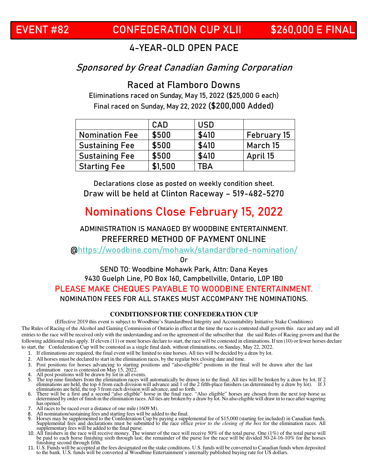### **EVENT #82 CONFEDERATION CUP XLII \$260,000 E FINAL**

### 4-YEAR-OLD OPEN PACE

### Sponsored by Great Canadian Gaming Corporation

**Raced at Flamboro Downs** Eliminations raced on Sunday, May 15, 2022 (\$25,000 G each)

Final raced on Sunday, May 22, 2022 **(\$200,000 Added)**

|                       | <b>CAD</b> | <b>USD</b> |             |
|-----------------------|------------|------------|-------------|
| <b>Nomination Fee</b> | \$500      | \$410      | February 15 |
| <b>Sustaining Fee</b> | \$500      | \$410      | March 15    |
| <b>Sustaining Fee</b> | \$500      | \$410      | April 15    |
| <b>Starting Fee</b>   | \$1,500    | <b>TBA</b> |             |

Declarations close as posted on weekly condition sheet. **Draw will be held at Clinton Raceway – 519-482-5270**

### **Nominations Close February 15, 2022**

### ADMINISTRATION IS MANAGED BY WOODBINE ENTERTAINMENT. **PREFERRED METHOD OF PAYMENT ONLINE**

@https://woodbine.com/mohawk/standardbred-nomination/

Or

#### **SEND TO: Woodbine Mohawk Park, Attn: Dana Keyes 9430 Guelph Line, PO Box 160, Campbellville, Ontario, L0P 1B0 PLEASE MAKE CHEQUES PAYABLE TO WOODBINE ENTERTAINMENT.**  NOMINATION FEES FOR ALL STAKES MUST ACCOMPANY THE NOMINATIONS.

#### **CONDITIONS FOR THE CONFEDERATION CUP**

(Effective 2019 this event is subject to Woodbine's Standardbred Integrity and Accountability Initiative Stake Conditions)

The Rules of Racing of the Alcohol and Gaming Commission of Ontario in effect at the time the race is contested shall govern this race and any and all entries to the race will be received only with the understanding and on the agreement of the subscriber that the said Rules of Racing govern and that the following additional rules apply. If eleven (11) or more horses declare to start, the race will be contested in eliminations. If ten (10) or fewer horses declare to start, the Confederation Cup will be contested as a single final dash, without eliminations, on Sunday, May 22, 2022.

- 1. If eliminations are required, the final event will be limited to nine horses. All ties will be decided by a draw by lot.
- 2. All horses must be declared to start in the elimination races, by the regular box closing date and time.
- 3. Post positions for horses advancing to starting positions and "also‐eligible" positions in the final will be drawn after the last elimination race is contested on May 15, 2022.
- 4. All post positions will be drawn by lot in all events.
- 5. The top nine finishers from the elimination races will automatically be drawn in to the final. All ties will be broken by a draw by lot. If 2 eliminations are held, the top 4 from each division will advance and 1 of the eliminations are held, the top 3 from each division will advance, and so forth.
- 6. There will be a first and a second "also eligible" horse in the final race. "Also eligible" horses are chosen from the next top horse as determined by order of finish in the elimination races. All ties are broken by a d has opened.
- 7. All races to be raced over a distance of one mile (1609 M).
- 8. All nomination/sustaining fees and starting fees will be added to the final.<br>9. Horses may be supplemented to the Confederation Cup by paying a suppl
- 9. Horses may be supplemented to the Confederation Cup by paying a supplemental fee of \$15,000 (starting fee included) in Canadian funds.<br>Supplemental fees and declarations must be submitted to the race office *prior to th* supplementary fees will be added to the final purse.
- 10. All finishers in the race will receive money. The winner of the race will receive 50% of the total purse. One (1%) of the total purse will be paid to each horse finishing sixth through last; the remainder of the purse finishing second through fifth.
- 11. U.S. Funds will be accepted at the fees designated on the stake conditions. U.S. funds will be converted to Canadian funds when deposited to the bank. U.S. funds will be converted at Woodbine Entertainment's internally published buying rate for US dollars.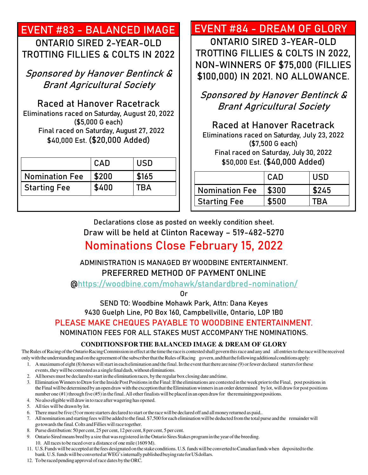### **EVENT #83 - BALANCED IMAGE**  ONTARIO SIRED 2-YEAR-OLD

TROTTING FILLIES & COLTS IN 2022

Sponsored by Hanover Bentinck & Brant Agricultural Society

**Raced at Hanover Racetrack** Eliminations raced on Saturday, August 20, 2022 (\$5,000 G each) Final raced on Saturday, August 27, 2022 \$40,000 Est. **(\$20,000 Added)** 

|                       | CAD   | <b>USD</b> |
|-----------------------|-------|------------|
| <b>Nomination Fee</b> | \$200 | \$165      |
| <b>Starting Fee</b>   | \$400 | <b>TBA</b> |

### **EVENT #84 - DREAM OF GLORY**

ONTARIO SIRED 3-YEAR-OLD TROTTING FILLIES & COLTS IN 2022, NON-WINNERS OF \$75,000 (FILLIES \$100,000) IN 2021. NO ALLOWANCE.

Sponsored by Hanover Bentinck & Brant Agricultural Society

**Raced at Hanover Racetrack** Eliminations raced on Saturday, July 23, 2022 (\$7,500 G each) Final raced on Saturday, July 30, 2022 \$50,000 Est. **(\$40,000 Added)** 

|                       | CAD   | USD   |
|-----------------------|-------|-------|
| <b>Nomination Fee</b> | \$300 | \$245 |
| <b>Starting Fee</b>   | \$500 | ΓRΔ   |

Declarations close as posted on weekly condition sheet. **Draw will be held at Clinton Raceway – 519-482-5270 Nominations Close February 15, 2022** 

### ADMINISTRATION IS MANAGED BY WOODBINE ENTERTAINMENT. **PREFERRED METHOD OF PAYMENT ONLINE**

@https://woodbine.com/mohawk/standardbred-nomination/

Or

**SEND TO: Woodbine Mohawk Park, Attn: Dana Keyes 9430 Guelph Line, PO Box 160, Campbellville, Ontario, L0P 1B0** 

**PLEASE MAKE CHEQUES PAYABLE TO WOODBINE ENTERTAINMENT.** 

NOMINATION FEES FOR ALL STAKES MUST ACCOMPANY THE NOMINATIONS.

#### **CONDITIONS FOR THE BALANCED IMAGE & DREAM OF GLORY**

The Rules of Racing of the Ontario Racing Commission in effect at the time the race is contested shall govern this race and any and all entries to the race will be received only with the understanding and on the agreement of the subscriber that the Rules of Racing govern, and that the following additional conditions apply:

- 1. A maximum of eight (8) horses will start in each elimination and the final. In the event that there are nine (9) or fewer declared starters for these events, they will be contested as a single final dash, without eliminations.
- 2. All horses must be declared to start in the elimination races, by the regular box closing date and time.
- 3. Elimination Winners to Draw for the Inside Post Positions in the Final: If the eliminations are contested in the week prior to the Final, post positions in the Final will be determined by an open draw with the exception that the Elimination winners in an order determined by lot, will draw for post positions number one (#1) through five (#5) in the final. All other finalists will be placed in an open draw for the remaining post positions.
- 4. No also eligible will draw in to race after wagering has opened.
- 5. All ties will be drawn by lot.
- 6. There must be five (5) or more starters declared to start or the race will be declared off and all money returned as paid..
- 7. All nomination and starting fees will be added to the final. \$7,500 for each elimination will be deducted from the total purse and the remainder will go towards the final. Colts and Fillies will race together.
- 8. Purse distribution: 50 per cent, 25 per cent, 12 per cent, 8 per cent, 5 per cent.
- 9. Ontario Sired means bred by a sire that was registered in the Ontario Sires Stakes program in the year of the breeding. 10. All races to be raced over a distance of one mile (1609 M).
- 11. U.S. Funds will be accepted at the fees designated on the stake conditions. U.S. funds will be converted to Canadian funds when deposited to the bank. U.S. funds will be converted at WEG's internally published buying rate for US dollars.
- 12. To be raced pending approval of race dates by the ORC.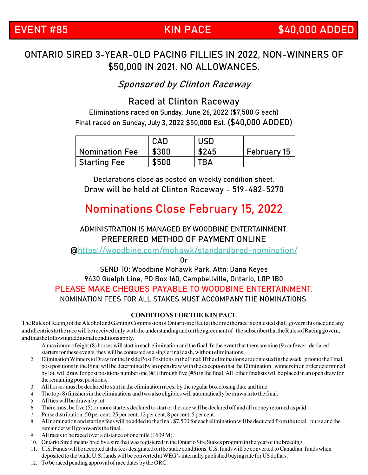### ONTARIO SIRED 3-YEAR-OLD PACING FILLIES IN 2022, NON-WINNERS OF \$50,000 IN 2021. NO ALLOWANCES.

Sponsored by Clinton Raceway

### **Raced at Clinton Raceway**

Eliminations raced on Sunday, June 26, 2022 (\$7,500 G each) Final raced on Sunday, July 3, 2022 \$50,000 Est. **(\$40,000 ADDED)**

|                | <b>CAD</b> | USD   |                    |
|----------------|------------|-------|--------------------|
| Nomination Fee | \$300      | \$245 | <b>February 15</b> |
| Starting Fee   | \$500      | TBA   |                    |

Declarations close as posted on weekly condition sheet. **Draw will be held at Clinton Raceway - 519-482-5270**

### **Nominations Close February 15, 2022**

### ADMINISTRATION IS MANAGED BY WOODBINE ENTERTAINMENT. **PREFERRED METHOD OF PAYMENT ONLINE**

@https://woodbine.com/mohawk/standardbred-nomination/

Or

#### **SEND TO: Woodbine Mohawk Park, Attn: Dana Keyes 9430 Guelph Line, PO Box 160, Campbellville, Ontario, L0P 1B0 PLEASE MAKE CHEQUES PAYABLE TO WOODBINE ENTERTAINMENT.**  NOMINATION FEES FOR ALL STAKES MUST ACCOMPANY THE NOMINATIONS.

#### **CONDITIONS FOR THE KIN PACE**

The Rules of Racing of the Alcohol and Gaming Commission of Ontario in effect at the time the race is contested shall govern this race and any and all entries to the race will be received only with the understanding and on the agreement of the subscriber that the Rules of Racing govern, and that the following additional conditions apply.

- 1. A maximum of eight (8) horses will start in each elimination and the final. In the event that there are nine (9) or fewer declared starters for these events, they will be contested as a single final dash, without eliminations.
- 2. Elimination Winners to Draw for the Inside Post Positions in the Final: If the eliminations are contested in the week prior to the Final, post positions in the Final will be determined by an open draw with the exception that the Elimination winners in an order determined by lot, will draw for post positions number one (#1) through five (#5) in the final. All other finalists will be placed in an open draw for the remaining post positions.
- 3. All horses must be declared to start in the elimination races, by the regular box closing date and time.
- 4. The top (8) finishers in the eliminations and two also eligibles will automatically be drawn in to the final.
- 5. All ties will be drawn by lot.
- 6. There must be five (5) or more starters declared to start or the race will be declared off and all money returned as paid.
- 7. Purse distribution: 50 per cent, 25 per cent, 12 per cent, 8 per cent, 5 per cent.
- 8. All nomination and starting fees will be added to the final. \$7,500 for each elimination will be deducted from the total purse and the remainder will go towards the final.
- 9. All races to be raced over a distance of one mile (1609 M).
- 10. Ontario Sired means bred by a sire that was registered in the Ontario Sire Stakes program in the year of the breeding.
- 11. U.S. Funds will be accepted at the fees designated on the stake conditions. U.S. funds will be converted to Canadian funds when deposited to the bank. U.S. funds will be converted at WEG's internally published buying rate for US dollars.
- 12. To be raced pending approval of race dates by the ORC.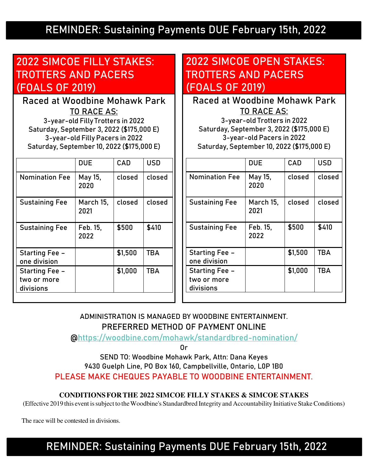### **REMINDER: Sustaining Payments DUE February 15th, 2022**

### **2022 SIMCOE FILLY STAKES: TROTTERS AND PACERS (FOALS OF 2019)**

**Raced at Woodbine Mohawk Park**  TO RACE AS: 3-year-old Filly Trotters in 2022 Saturday, September 3, 2022 (\$175,000 E) 3-year-old Filly Pacers in 2022 Saturday, September 10, 2022 (\$175,000 E)

|                                                   | <b>DUE</b>        | CAD     | <b>USD</b> |
|---------------------------------------------------|-------------------|---------|------------|
| <b>Nomination Fee</b>                             | May 15,<br>2020   | closed  | closed     |
| <b>Sustaining Fee</b>                             | March 15,<br>2021 | closed  | closed     |
| <b>Sustaining Fee</b>                             | Feb. 15.<br>2022  | \$500   | \$410      |
| Starting Fee -<br>one division                    |                   | \$1,500 | <b>TBA</b> |
| <b>Starting Fee -</b><br>two or more<br>divisions |                   | \$1,000 | <b>TBA</b> |

### **2022 SIMCOE OPEN STAKES: TROTTERS AND PACERS (FOALS OF 2019)**

**Raced at Woodbine Mohawk Park** TO RACE AS: 3-year-old Trotters in 2022

Saturday, September 3, 2022 (\$175,000 E) 3-year-old Pacers in 2022 Saturday, September 10, 2022 (\$175,000 E)

|                                            | <b>DUE</b>        | CAD     | <b>USD</b> |
|--------------------------------------------|-------------------|---------|------------|
| <b>Nomination Fee</b>                      | May 15,<br>2020   | closed  | closed     |
| <b>Sustaining Fee</b>                      | March 15,<br>2021 | closed  | closed     |
| <b>Sustaining Fee</b>                      | Feb. 15,<br>2022  | \$500   | \$410      |
| Starting Fee -<br>one division             |                   | \$1,500 | <b>TBA</b> |
| Starting Fee -<br>two or more<br>divisions |                   | \$1,000 | <b>TBA</b> |

### ADMINISTRATION IS MANAGED BY WOODBINE ENTERTAINMENT. **PREFERRED METHOD OF PAYMENT ONLINE**

@https://woodbine.com/mohawk/standardbred-nomination/

Or

**SEND TO: Woodbine Mohawk Park, Attn: Dana Keyes 9430 Guelph Line, PO Box 160, Campbellville, Ontario, L0P 1B0 PLEASE MAKE CHEQUES PAYABLE TO WOODBINE ENTERTAINMENT.**

#### **CONDITIONS FOR THE 2022 SIMCOE FILLY STAKES & SIMCOE STAKES**

(Effective 2019 this event is subject to the Woodbine's Standardbred Integrity and Accountability Initiative Stake Conditions)

The race will be contested in divisions.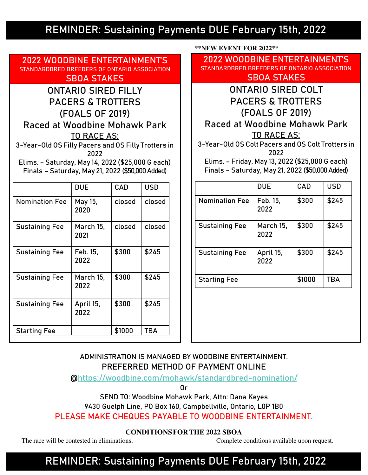### **REMINDER: Sustaining Payments DUE February 15th, 2022**

**2022 WOODBINE ENTERTAINMENT'S STANDARDBRED BREEDERS OF ONTARIO ASSOCIATION SBOA STAKES** 

ONTARIO SIRED FILLY PACERS & TROTTERS (FOALS OF 2019) **Raced at Woodbine Mohawk Park** TO RACE AS: 3-Year-Old OS Filly Pacers and OS Filly Trotters in

2022

Elims. – Saturday, May 14, 2022 (\$25,000 G each) Finals – Saturday, May 21, 2022 (\$50,000 Added)

|                       | <b>DUE</b>        | CAD    | <b>USD</b> |
|-----------------------|-------------------|--------|------------|
| <b>Nomination Fee</b> | May 15,<br>2020   | closed | closed     |
| <b>Sustaining Fee</b> | March 15,<br>2021 | closed | closed     |
| <b>Sustaining Fee</b> | Feb. 15,<br>2022  | \$300  | \$245      |
| <b>Sustaining Fee</b> | March 15,<br>2022 | \$300  | \$245      |
| <b>Sustaining Fee</b> | April 15,<br>2022 | \$300  | \$245      |
| <b>Starting Fee</b>   |                   | \$1000 | <b>TBA</b> |

 **\*\*NEW EVENT FOR 2022\*\*** 

**2022 WOODBINE ENTERTAINMENT'S STANDARDBRED BREEDERS OF ONTARIO ASSOCIATION SBOA STAKES**

### ONTARIO SIRED COLT PACERS & TROTTERS (FOALS OF 2019) **Raced at Woodbine Mohawk Park** TO RACE AS:

3-Year-Old OS Colt Pacers and OS Colt Trotters in 2022

Elims. – Friday, May 13, 2022 (\$25,000 G each) Finals – Saturday, May 21, 2022 (\$50,000 Added)

|                       | <b>DUE</b>        | CAD    | <b>USD</b> |
|-----------------------|-------------------|--------|------------|
| <b>Nomination Fee</b> | Feb. 15,<br>2022  | \$300  | \$245      |
| <b>Sustaining Fee</b> | March 15,<br>2022 | \$300  | \$245      |
| <b>Sustaining Fee</b> | April 15,<br>2022 | \$300  | \$245      |
| <b>Starting Fee</b>   |                   | \$1000 | <b>TBA</b> |

ADMINISTRATION IS MANAGED BY WOODBINE ENTERTAINMENT. **PREFERRED METHOD OF PAYMENT ONLINE** 

@https://woodbine.com/mohawk/standardbred-nomination/

Or

**SEND TO: Woodbine Mohawk Park, Attn: Dana Keyes** 

**9430 Guelph Line, PO Box 160, Campbellville, Ontario, L0P 1B0** 

**PLEASE MAKE CHEQUES PAYABLE TO WOODBINE ENTERTAINMENT.** 

**CONDITIONS FOR THE 2022 SBOA** 

The race will be contested in eliminations. Complete conditions available upon request.

### **REMINDER: Sustaining Payments DUE February 15th, 2022**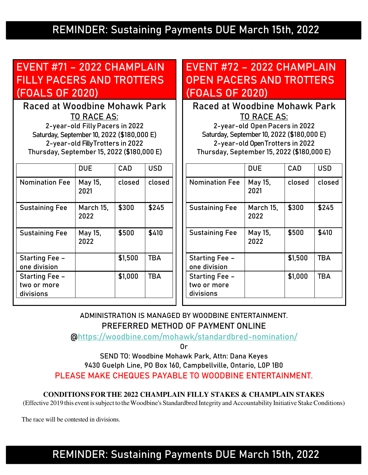### **REMINDER: Sustaining Payments DUE March 15th, 2022**

### **EVENT #71 – 2022 CHAMPLAIN FILLY PACERS AND TROTTERS (FOALS OF 2020)**

**Raced at Woodbine Mohawk Park**  TO RACE AS:

2-year-old Filly Pacers in 2022 Saturday, September 10, 2022 (\$180,000 E) 2-year-old Filly Trotters in 2022 Thursday, September 15, 2022 (\$180,000 E)

|                                            | <b>DUE</b>        | CAD     | <b>USD</b> |
|--------------------------------------------|-------------------|---------|------------|
| <b>Nomination Fee</b>                      | May 15,<br>2021   | closed  | closed     |
| <b>Sustaining Fee</b>                      | March 15.<br>2022 | \$300   | \$245      |
| <b>Sustaining Fee</b>                      | May 15,<br>2022   | \$500   | \$410      |
| Starting Fee -<br>one division             |                   | \$1,500 | <b>TBA</b> |
| Starting Fee -<br>two or more<br>divisions |                   | \$1,000 | <b>TBA</b> |

### **EVENT #72 – 2022 CHAMPLAIN OPEN PACERS AND TROTTERS (FOALS OF 2020)**

**Raced at Woodbine Mohawk Park**  TO RACE AS:

2-year-old Open Pacers in 2022 Saturday, September 10, 2022 (\$180,000 E) 2-year-old Open Trotters in 2022 Thursday, September 15, 2022 (\$180,000 E)

|                                                   | <b>DUE</b>        | CAD     | <b>USD</b> |
|---------------------------------------------------|-------------------|---------|------------|
| <b>Nomination Fee</b>                             | May 15,<br>2021   | closed  | closed     |
| <b>Sustaining Fee</b>                             | March 15,<br>2022 | \$300   | \$245      |
| <b>Sustaining Fee</b>                             | May 15,<br>2022   | \$500   | \$410      |
| <b>Starting Fee -</b><br>one division             |                   | \$1,500 | <b>TBA</b> |
| <b>Starting Fee -</b><br>two or more<br>divisions |                   | \$1,000 | <b>TBA</b> |

ADMINISTRATION IS MANAGED BY WOODBINE ENTERTAINMENT. **PREFERRED METHOD OF PAYMENT ONLINE** 

@https://woodbine.com/mohawk/standardbred-nomination/

Or

**SEND TO: Woodbine Mohawk Park, Attn: Dana Keyes 9430 Guelph Line, PO Box 160, Campbellville, Ontario, L0P 1B0 PLEASE MAKE CHEQUES PAYABLE TO WOODBINE ENTERTAINMENT.** 

#### **CONDITIONS FOR THE 2022 CHAMPLAIN FILLY STAKES & CHAMPLAIN STAKES**

(Effective 2019 this event is subject to the Woodbine's Standardbred Integrity and Accountability Initiative Stake Conditions)

The race will be contested in divisions.

**REMINDER: Sustaining Payments DUE March 15th, 2022**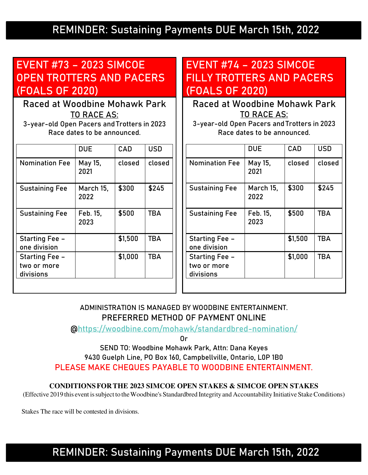### **REMINDER: Sustaining Payments DUE March 15th, 2022**

### **EVENT #73 – 2023 SIMCOE OPEN TROTTERS AND PACERS (FOALS OF 2020)**

**Raced at Woodbine Mohawk Park**  TO RACE AS:

3-year-old Open Pacers and Trotters in 2023 Race dates to be announced.

|                                            | <b>DUE</b>        | CAD     | <b>USD</b> |
|--------------------------------------------|-------------------|---------|------------|
| <b>Nomination Fee</b>                      | May 15,<br>2021   | closed  | closed     |
| <b>Sustaining Fee</b>                      | March 15,<br>2022 | \$300   | \$245      |
| <b>Sustaining Fee</b>                      | Feb. 15.<br>2023  | \$500   | <b>TBA</b> |
| Starting Fee -<br>one division             |                   | \$1,500 | <b>TBA</b> |
| Starting Fee -<br>two or more<br>divisions |                   | \$1,000 | <b>TBA</b> |
|                                            |                   |         |            |

### **EVENT #74 – 2023 SIMCOE FILLY TROTTERS AND PACERS (FOALS OF 2020)**

**Raced at Woodbine Mohawk Park**  TO RACE AS:

3-year-old Open Pacers and Trotters in 2023 Race dates to be announced.

|                                            | <b>DUE</b>        | CAD     | <b>USD</b> |
|--------------------------------------------|-------------------|---------|------------|
| <b>Nomination Fee</b>                      | May 15,<br>2021   | closed  | closed     |
| <b>Sustaining Fee</b>                      | March 15,<br>2022 | \$300   | \$245      |
| <b>Sustaining Fee</b>                      | Feb. 15,<br>2023  | \$500   | <b>TBA</b> |
| Starting Fee -<br>one division             |                   | \$1,500 | <b>TBA</b> |
| Starting Fee -<br>two or more<br>divisions |                   | \$1,000 | <b>TBA</b> |
|                                            |                   |         |            |

### ADMINISTRATION IS MANAGED BY WOODBINE ENTERTAINMENT. **PREFERRED METHOD OF PAYMENT ONLINE**

@https://woodbine.com/mohawk/standardbred-nomination/

Or

**SEND TO: Woodbine Mohawk Park, Attn: Dana Keyes 9430 Guelph Line, PO Box 160, Campbellville, Ontario, L0P 1B0 PLEASE MAKE CHEQUES PAYABLE TO WOODBINE ENTERTAINMENT.**

**CONDITIONS FOR THE 2023 SIMCOE OPEN STAKES & SIMCOE OPEN STAKES** 

(Effective 2019 this event is subject to the Woodbine's Standardbred Integrity and Accountability Initiative Stake Conditions)

Stakes The race will be contested in divisions.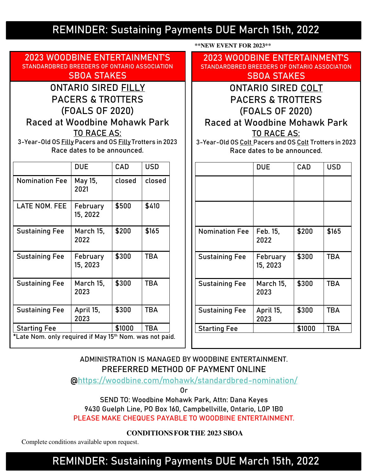### **REMINDER: Sustaining Payments DUE March 15th, 2022**

 **\*\*NEW EVENT FOR 2023\*\*** 

**2023 WOODBINE ENTERTAINMENT'S STANDARDBRED BREEDERS OF ONTARIO ASSOCIATION SBOA STAKES**  ONTARIO SIRED **FILLY** PACERS & TROTTERS (FOALS OF 2020) **Raced at Woodbine Mohawk Park** TO RACE AS: 3-Year-Old OS Filly Pacers and OS Filly Trotters in 2023 Race dates to be announced. DUE CAD USD Nomination Fee | May 15, 2021  $closed$   $closed$ LATE NOM. FEE | February 15, 2022  $$500$   $$410$ Sustaining Fee | March 15, 2022  $$200$  \\$165 Sustaining Fee | February 15, 2023 \$300 | TBA Sustaining Fee | March 15, 2023 \$300 | TBA Sustaining Fee  $\vert$  April 15, 2023 \$300 | TBA Starting Fee | \$1000 TBA **\*Late Nom. only required if May 15th Nom. was not paid. 2023 WOODBINE ENTERTAINMENT'S STANDARDBRED BREEDERS OF ONTARIO ASSOCIATION SBOA STAKES**  ONTARIO SIRED **COLT** PACERS & TROTTERS (FOALS OF 2020) **Raced at Woodbine Mohawk Park** TO RACE AS: 3-Year-Old OS Colt Pacers and OS Colt Trotters in 2023 Race dates to be announced. DUE CAD USD Nomination Fee  $\vert$  Feb. 15, 2022  $$200$   $$165$ Sustaining Fee | February 15, 2023  $$300$  TBA Sustaining Fee | March 15, 2023 \$300 | TBA Sustaining Fee  $\vert$  April 15, 2023 \$300 | TBA Starting Fee | \$1000 | TBA

### ADMINISTRATION IS MANAGED BY WOODBINE ENTERTAINMENT. **PREFERRED METHOD OF PAYMENT ONLINE**

@https://woodbine.com/mohawk/standardbred-nomination/

Or

**SEND TO: Woodbine Mohawk Park, Attn: Dana Keyes 9430 Guelph Line, PO Box 160, Campbellville, Ontario, L0P 1B0 PLEASE MAKE CHEQUES PAYABLE TO WOODBINE ENTERTAINMENT.** 

 **CONDITIONS FOR THE 2023 SBOA** 

Complete conditions available upon request.

### **REMINDER: Sustaining Payments DUE March 15th, 2022**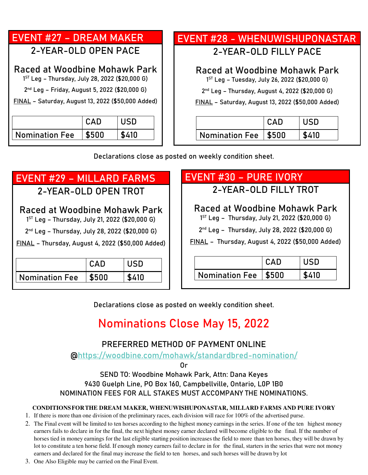### **EVENT #27 – DREAM MAKER**  2-YEAR-OLD OPEN PACE **Raced at Woodbine Mohawk Park** 1 ST Leg – Thursday, July 28, 2022 (\$20,000 G)

2 nd Leg – Friday, August 5, 2022 (\$20,000 G)

FINAL – Saturday, August 13, 2022 **(\$50,000 Added)**

|                       | CAD   | USD   |
|-----------------------|-------|-------|
| <b>Nomination Fee</b> | \$500 | \$410 |

### **EVENT #28 - WHENUWISHUPONASTAR**

2-YEAR-OLD FILLY PACE

### **Raced at Woodbine Mohawk Park**

1 ST Leg – Tuesday, July 26, 2022 (\$20,000 G)

2 nd Leg – Thursday, August 4, 2022 (\$20,000 G)

FINAL – Saturday, August 13, 2022 **(\$50,000 Added)**

| Nomination Fee   \$500 |  |
|------------------------|--|

Declarations close as posted on weekly condition sheet.

## **EVENT #29 – MILLARD FARMS**

2-YEAR-OLD OPEN TROT

### **Raced at Woodbine Mohawk Park**

1 ST Leg – Thursday, July 21, 2022 (\$20,000 G)

2 nd Leg – Thursday, July 28, 2022 (\$20,000 G)

FINAL – Thursday, August 4, 2022 **(\$50,000 Added)**

|                       | CAD   | USD   |
|-----------------------|-------|-------|
| <b>Nomination Fee</b> | \$500 | \$410 |

## **EVENT #30 – PURE IVORY**

2-YEAR-OLD FILLY TROT

### **Raced at Woodbine Mohawk Park**

1 ST Leg – Thursday, July 21, 2022 (\$20,000 G)

2 nd Leg – Thursday, July 28, 2022 (\$20,000 G)

FINAL – Thursday, August 4, 2022 **(\$50,000 Added)** 

|                        | CAD. |       |
|------------------------|------|-------|
| Nomination Fee   \$500 |      | \$410 |

Declarations close as posted on weekly condition sheet.

## **Nominations Close May 15, 2022**

### **PREFERRED METHOD OF PAYMENT ONLINE**

@https://woodbine.com/mohawk/standardbred-nomination/

Or

**SEND TO: Woodbine Mohawk Park, Attn: Dana Keyes 9430 Guelph Line, PO Box 160, Campbellville, Ontario, L0P 1B0**  NOMINATION FEES FOR ALL STAKES MUST ACCOMPANY THE NOMINATIONS.

#### **CONDITIONS FOR THE DREAM MAKER, WHENUWISHUPONASTAR, MILLARD FARMS AND PURE IVORY**

1. If there is more than one division of the preliminary races, each division will race for 100% of the advertised purse.

- 2. The Final event will be limited to ten horses according to the highest money earnings in the series. If one of the ten highest money earners fails to declare in for the final, the next highest money earner declared will become eligible to the final. If the number of horses tied in money earnings for the last eligible starting position increases the field to more than ten horses, they will be drawn by lot to constitute a ten horse field. If enough money earners fail to declare in for the final, starters in the series that were not money earners and declared for the final may increase the field to ten horses, and such horses will be drawn by lot
- 3. One Also Eligible may be carried on the Final Event.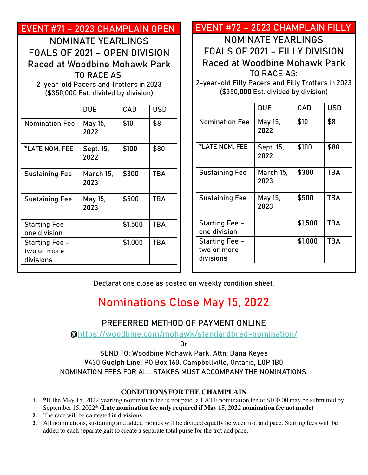| EVENT #71 - 2023 CHAMPLAIN OPEN        |                                      |         |            | EVENT #72 - 2023 CHAMPLAIN FILLY                   |                                      |         |            |
|----------------------------------------|--------------------------------------|---------|------------|----------------------------------------------------|--------------------------------------|---------|------------|
|                                        | <b>NOMINATE YEARLINGS</b>            |         |            |                                                    | <b>NOMINATE YEARLINGS</b>            |         |            |
| FOALS OF 2021 - OPEN DIVISION          |                                      |         |            | FOALS OF 2021 - FILLY DIVISION                     |                                      |         |            |
|                                        |                                      |         |            |                                                    |                                      |         |            |
| Raced at Woodbine Mohawk Park          |                                      |         |            | Raced at Woodbine Mohawk Park                      |                                      |         |            |
|                                        | <b>TO RACE AS:</b>                   |         |            |                                                    | <b>TO RACE AS:</b>                   |         |            |
| 2-year-old Pacers and Trotters in 2023 | (\$350,000 Est. divided by division) |         |            | 2-year-old Filly Pacers and Filly Trotters in 2023 | (\$350,000 Est. divided by division) |         |            |
|                                        | <b>DUE</b>                           | CAD     | <b>USD</b> |                                                    | <b>DUE</b>                           | CAD     | <b>USD</b> |
| <b>Nomination Fee</b>                  | May 15,<br>2022                      | \$10    | \$8        | <b>Nomination Fee</b>                              | May 15,<br>2022                      | \$10    | \$8        |
| *LATE NOM. FEE                         | Sept. 15,<br>2022                    | \$100   | \$80       | *LATE NOM. FEE                                     | Sept. 15,<br>2022                    | \$100   | \$80       |
| <b>Sustaining Fee</b>                  | March 15,<br>2023                    | \$300   | <b>TBA</b> | <b>Sustaining Fee</b>                              | March 15,<br>2023                    | \$300   | <b>TBA</b> |
| <b>Sustaining Fee</b>                  | May 15,<br>2023                      | \$500   | <b>TBA</b> | <b>Sustaining Fee</b>                              | May 15,<br>2023                      | \$500   | <b>TBA</b> |
| <b>Starting Fee -</b><br>one division  |                                      | \$1,500 | <b>TBA</b> | <b>Starting Fee -</b><br>one division              |                                      | \$1,500 | <b>TBA</b> |
| Starting Fee -<br>two or more          |                                      | \$1,000 | <b>TBA</b> | <b>Starting Fee -</b><br>two or more<br>divisions  |                                      | \$1,000 | <b>TBA</b> |

### **Nominations Close May 15, 2022**

### **PREFERRED METHOD OF PAYMENT ONLINE**

@https://woodbine.com/mohawk/standardbred-nomination/

Or

**SEND TO: Woodbine Mohawk Park, Attn: Dana Keyes 9430 Guelph Line, PO Box 160, Campbellville, Ontario, L0P 1B0**  NOMINATION FEES FOR ALL STAKES MUST ACCOMPANY THE NOMINATIONS.

### **CONDITIONS FOR THE CHAMPLAIN**

- **1. \***If the May 15, 2022 yearling nomination fee is not paid, a LATE nomination fee of \$100.00 may be submitted by September 15, 2022**\* (Late nomination fee only required if May 15, 2022 nomination fee not made)**
- **2.** The race will be contested in divisions.
- **3.** All nominations, sustaining and added monies will be divided equally between trot and pace. Starting fees will be added to each separate gait to create a separate total purse for the trot and pace.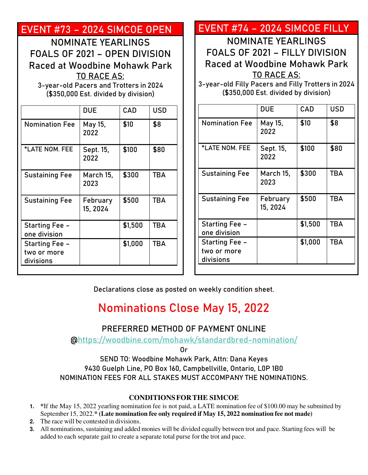| <u>EVENT #73 - 2024 SIMCOE OPEN</u>                                     |                                      |         |            | EVENT #74 - 2024 SIMCOE FILLY                                                       |                                      |         |
|-------------------------------------------------------------------------|--------------------------------------|---------|------------|-------------------------------------------------------------------------------------|--------------------------------------|---------|
|                                                                         | <b>NOMINATE YEARLINGS</b>            |         |            |                                                                                     | <b>NOMINATE YEARLINGS</b>            |         |
| FOALS OF 2021 - OPEN DIVISION                                           |                                      |         |            | FOALS OF 2021 - FILLY DIVISION                                                      |                                      |         |
| Raced at Woodbine Mohawk Park<br>3-year-old Pacers and Trotters in 2024 | <b>TO RACE AS:</b>                   |         |            | Raced at Woodbine Mohawk Park<br>3-year-old Filly Pacers and Filly Trotters in 2024 | <b>TO RACE AS:</b>                   |         |
|                                                                         | (\$350,000 Est. divided by division) |         |            |                                                                                     | (\$350,000 Est. divided by division) |         |
|                                                                         | <b>DUE</b>                           | CAD     | <b>USD</b> |                                                                                     | <b>DUE</b>                           | CAD     |
| <b>Nomination Fee</b>                                                   | May 15,<br>2022                      | \$10    | \$8        | <b>Nomination Fee</b>                                                               | May 15,<br>2022                      | \$10    |
| *LATE NOM. FEE                                                          | Sept. 15,<br>2022                    | \$100   | \$80       | *LATE NOM. FEE                                                                      | Sept. 15,<br>2022                    | \$100   |
| <b>Sustaining Fee</b>                                                   | March 15,<br>2023                    | \$300   | <b>TBA</b> | <b>Sustaining Fee</b>                                                               | March 15,<br>2023                    | \$300   |
| <b>Sustaining Fee</b>                                                   | February<br>15, 2024                 | \$500   | <b>TBA</b> | <b>Sustaining Fee</b>                                                               | February<br>15, 2024                 | \$500   |
| <b>Starting Fee -</b><br>one division                                   |                                      | \$1,500 | <b>TBA</b> | <b>Starting Fee -</b><br>one division                                               |                                      | \$1,500 |
| <b>Starting Fee -</b><br>two or more<br>divisions                       |                                      | \$1,000 | <b>TBA</b> | Starting Fee -<br>two or more<br>divisions                                          |                                      | \$1,000 |

Declarations close as posted on weekly condition sheet.

## **Nominations Close May 15, 2022**

### **PREFERRED METHOD OF PAYMENT ONLINE**

@https://woodbine.com/mohawk/standardbred-nomination/

Or

**SEND TO: Woodbine Mohawk Park, Attn: Dana Keyes 9430 Guelph Line, PO Box 160, Campbellville, Ontario, L0P 1B0**  NOMINATION FEES FOR ALL STAKES MUST ACCOMPANY THE NOMINATIONS.

### **CONDITIONS FOR THE SIMCOE**

- **1. \***If the May 15, 2022 yearling nomination fee is not paid, a LATE nomination fee of \$100.00 may be submitted by September 15, 2022.**\* (Late nomination fee only required if May 15, 2022 nomination fee not made)**
- **2.** The race will be contested in divisions.
- **3.** All nominations, sustaining and added monies will be divided equally between trot and pace. Starting fees will be added to each separate gait to create a separate total purse for the trot and pace.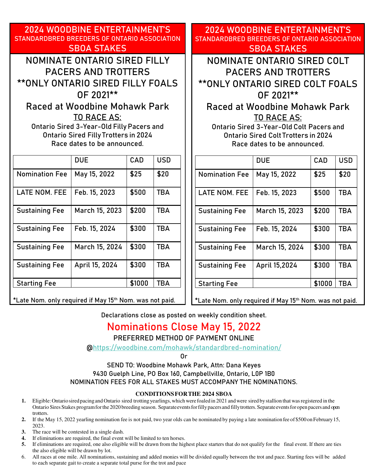**2024 WOODBINE ENTERTAINMENT'S STANDARDBRED BREEDERS OF ONTARIO ASSOCIATION SBOA STAKES** 

NOMINATE ONTARIO SIRED **FILLY** PACERS AND TROTTERS \*\*ONLY ONTARIO SIRED **FILLY** FOALS OF 2021\*\*

**Raced at Woodbine Mohawk Park** TO RACE AS:

Ontario Sired 3-Year-Old Filly Pacers and Ontario Sired Filly Trotters in 2024 Race dates to be announced.

|                       | <b>DUE</b>     | CAD    | <b>USD</b> |
|-----------------------|----------------|--------|------------|
| <b>Nomination Fee</b> | May 15, 2022   | \$25   | \$20       |
| <b>LATE NOM. FEE</b>  | Feb. 15, 2023  | \$500  | <b>TBA</b> |
| <b>Sustaining Fee</b> | March 15, 2023 | \$200  | <b>TBA</b> |
| <b>Sustaining Fee</b> | Feb. 15, 2024  | \$300  | <b>TBA</b> |
| <b>Sustaining Fee</b> | March 15, 2024 | \$300  | <b>TBA</b> |
| <b>Sustaining Fee</b> | April 15, 2024 | \$300  | <b>TBA</b> |
| <b>Starting Fee</b>   |                | \$1000 | TBA        |

**\*Late Nom. only required if May 15th Nom. was not paid.** 

**2024 WOODBINE ENTERTAINMENT'S STANDARDBRED BREEDERS OF ONTARIO ASSOCIATION SBOA STAKES**

NOMINATE ONTARIO SIRED **COLT** PACERS AND TROTTERS \*\*ONLY ONTARIO SIRED **COLT** FOALS OF 2021\*\*

**Raced at Woodbine Mohawk Park** TO RACE AS:

Ontario Sired 3-Year-Old Colt Pacers and Ontario Sired Colt Trotters in 2024 Race dates to be announced.

|                       | <b>DUE</b>     | CAD    | <b>USD</b> |
|-----------------------|----------------|--------|------------|
| <b>Nomination Fee</b> | May 15, 2022   | \$25   | \$20       |
| <b>LATE NOM. FEE</b>  | Feb. 15, 2023  | \$500  | <b>TBA</b> |
| <b>Sustaining Fee</b> | March 15, 2023 | \$200  | <b>TBA</b> |
| <b>Sustaining Fee</b> | Feb. 15, 2024  | \$300  | <b>TBA</b> |
| <b>Sustaining Fee</b> | March 15, 2024 | \$300  | <b>TBA</b> |
| <b>Sustaining Fee</b> | April 15,2024  | \$300  | <b>TBA</b> |
| <b>Starting Fee</b>   |                | \$1000 | <b>TBA</b> |

**\*Late Nom. only required if May 15th Nom. was not paid.** 

Declarations close as posted on weekly condition sheet.

### **Nominations Close May 15, 2022**

**PREFERRED METHOD OF PAYMENT ONLINE** 

@https://woodbine.com/mohawk/standardbred-nomination/

Or

**SEND TO: Woodbine Mohawk Park, Attn: Dana Keyes 9430 Guelph Line, PO Box 160, Campbellville, Ontario, L0P 1B0**  NOMINATION FEES FOR ALL STAKES MUST ACCOMPANY THE NOMINATIONS.

#### **CONDITIONS FOR THE 2024 SBOA**

- **1.** Eligible: Ontario sired pacing and Ontario sired trotting yearlings, which were foaled in 2021 and were sired by stallion that was registered in the Ontario Sires Stakes program for the 2020 breeding season. Separate events for filly pacers and filly trotters. Separate events for open pacers and open trotters.
- **2.** If the May 15, 2022 yearling nomination fee is not paid, two year olds can be nominated by paying a late nomination fee of \$500 on February 15, 2023.
- **3.** The race will be contested in a single dash.
- **4.** If eliminations are required, the final event will be limited to ten horses.
- **5.** If eliminations are required, one also eligible will be drawn from the highest place starters that do not qualify for the final event. If there are ties the also eligible will be drawn by lot.
- 6. All races at one mile. All nominations, sustaining and added monies will be divided equally between the trot and pace. Starting fees will be added to each separate gait to create a separate total purse for the trot and pace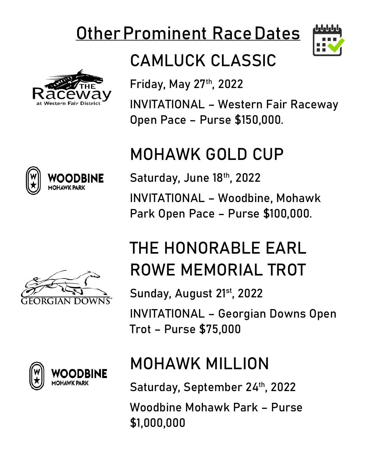# **Other Prominent Race Dates**



# CAMLUCK CLASSIC

**Friday, May 27th, 2022**

INVITATIONAL – Western Fair Raceway Open Pace – Purse \$150,000.

# MOHAWK GOLD CUP

**Saturday, June 18th, 2022**  INVITATIONAL – Woodbine, Mohawk Park Open Pace – Purse \$100,000.

# THE HONORABLE EARL ROWE MEMORIAL TROT

**Sunday, August 21st, 2022**  INVITATIONAL – Georgian Downs Open Trot – Purse \$75,000

# MOHAWK MILLION

**Saturday, September 24th, 2022** 

Woodbine Mohawk Park – Purse \$1,000,000